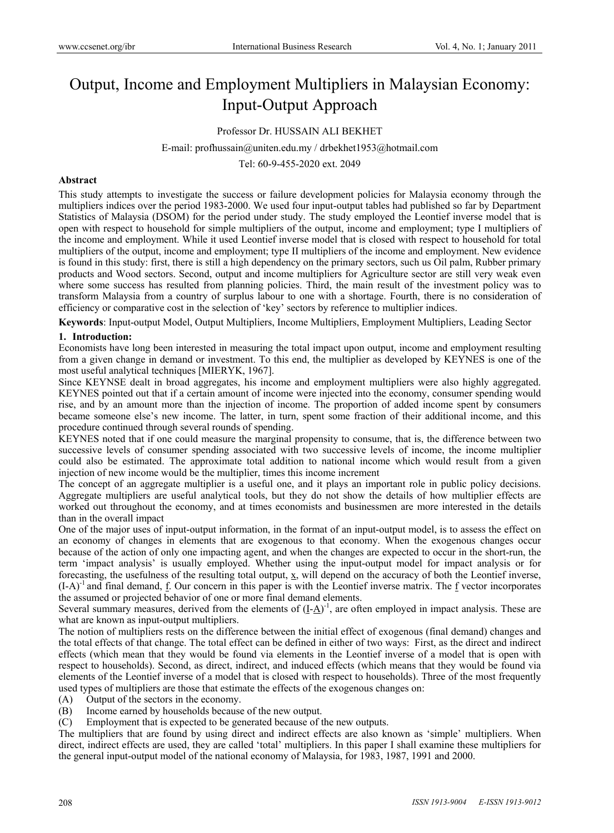# Output, Income and Employment Multipliers in Malaysian Economy: Input-Output Approach

# Professor Dr. HUSSAIN ALI BEKHET

E-mail: profhussain@uniten.edu.my / drbekhet1953@hotmail.com

Tel: 60-9-455-2020 ext. 2049

#### **Abstract**

This study attempts to investigate the success or failure development policies for Malaysia economy through the multipliers indices over the period 1983-2000. We used four input-output tables had published so far by Department Statistics of Malaysia (DSOM) for the period under study. The study employed the Leontief inverse model that is open with respect to household for simple multipliers of the output, income and employment; type I multipliers of the income and employment. While it used Leontief inverse model that is closed with respect to household for total multipliers of the output, income and employment; type II multipliers of the income and employment. New evidence is found in this study: first, there is still a high dependency on the primary sectors, such us Oil palm, Rubber primary products and Wood sectors. Second, output and income multipliers for Agriculture sector are still very weak even where some success has resulted from planning policies. Third, the main result of the investment policy was to transform Malaysia from a country of surplus labour to one with a shortage. Fourth, there is no consideration of efficiency or comparative cost in the selection of 'key' sectors by reference to multiplier indices.

**Keywords**: Input-output Model, Output Multipliers, Income Multipliers, Employment Multipliers, Leading Sector

## **1. Introduction:**

Economists have long been interested in measuring the total impact upon output, income and employment resulting from a given change in demand or investment. To this end, the multiplier as developed by KEYNES is one of the most useful analytical techniques [MIERYK, 1967].

Since KEYNSE dealt in broad aggregates, his income and employment multipliers were also highly aggregated. KEYNES pointed out that if a certain amount of income were injected into the economy, consumer spending would rise, and by an amount more than the injection of income. The proportion of added income spent by consumers became someone else's new income. The latter, in turn, spent some fraction of their additional income, and this procedure continued through several rounds of spending.

KEYNES noted that if one could measure the marginal propensity to consume, that is, the difference between two successive levels of consumer spending associated with two successive levels of income, the income multiplier could also be estimated. The approximate total addition to national income which would result from a given injection of new income would be the multiplier, times this income increment

The concept of an aggregate multiplier is a useful one, and it plays an important role in public policy decisions. Aggregate multipliers are useful analytical tools, but they do not show the details of how multiplier effects are worked out throughout the economy, and at times economists and businessmen are more interested in the details than in the overall impact

One of the major uses of input-output information, in the format of an input-output model, is to assess the effect on an economy of changes in elements that are exogenous to that economy. When the exogenous changes occur because of the action of only one impacting agent, and when the changes are expected to occur in the short-run, the term 'impact analysis' is usually employed. Whether using the input-output model for impact analysis or for forecasting, the usefulness of the resulting total output,  $\underline{x}$ , will depend on the accuracy of both the Leontief inverse,  $(I-A)^{-1}$  and final demand, f. Our concern in this paper is with the Leontief inverse matrix. The f vector incorporates the assumed or projected behavior of one or more final demand elements.

Several summary measures, derived from the elements of  $(I-A)^{-1}$ , are often employed in impact analysis. These are what are known as input-output multipliers.

The notion of multipliers rests on the difference between the initial effect of exogenous (final demand) changes and the total effects of that change. The total effect can be defined in either of two ways: First, as the direct and indirect effects (which mean that they would be found via elements in the Leontief inverse of a model that is open with respect to households). Second, as direct, indirect, and induced effects (which means that they would be found via elements of the Leontief inverse of a model that is closed with respect to households). Three of the most frequently used types of multipliers are those that estimate the effects of the exogenous changes on:

(A) Output of the sectors in the economy.

(B) Income earned by households because of the new output.

(C) Employment that is expected to be generated because of the new outputs.

The multipliers that are found by using direct and indirect effects are also known as 'simple' multipliers. When direct, indirect effects are used, they are called 'total' multipliers. In this paper I shall examine these multipliers for the general input-output model of the national economy of Malaysia, for 1983, 1987, 1991 and 2000.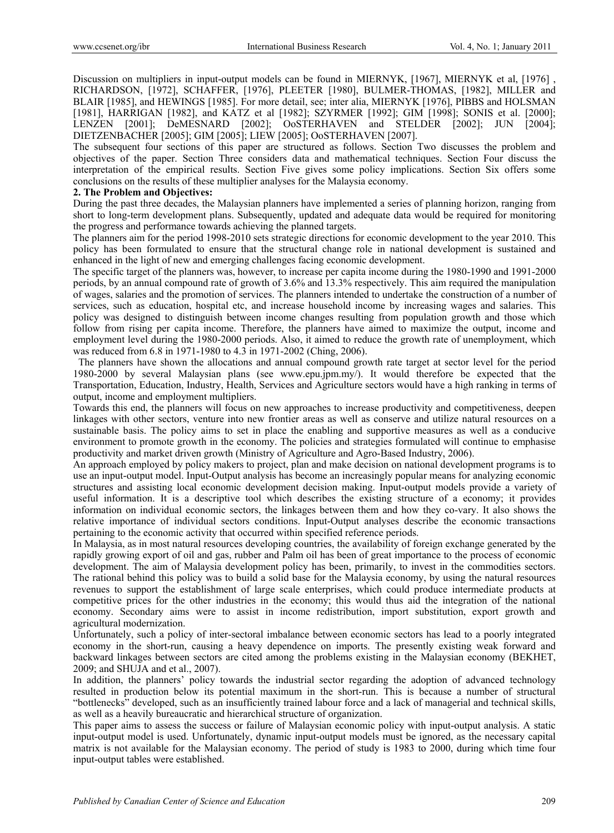Discussion on multipliers in input-output models can be found in MIERNYK, [1967], MIERNYK et al, [1976] , RICHARDSON, [1972], SCHAFFER, [1976], PLEETER [1980], BULMER-THOMAS, [1982], MILLER and BLAIR [1985], and HEWINGS [1985]. For more detail, see; inter alia, MIERNYK [1976], PIBBS and HOLSMAN [1981], HARRIGAN [1982], and KATZ et al [1982]; SZYRMER [1992]; GIM [1998]; SONIS et al. [2000]; LENZEN [2001]; DeMESNARD [2002]; OoSTERHAVEN and STELDER [2002]; JUN [2004]; DIETZENBACHER [2005]; GIM [2005]; LIEW [2005]; OoSTERHAVEN [2007].

The subsequent four sections of this paper are structured as follows. Section Two discusses the problem and objectives of the paper. Section Three considers data and mathematical techniques. Section Four discuss the interpretation of the empirical results. Section Five gives some policy implications. Section Six offers some conclusions on the results of these multiplier analyses for the Malaysia economy.

#### **2. The Problem and Objectives:**

During the past three decades, the Malaysian planners have implemented a series of planning horizon, ranging from short to long-term development plans. Subsequently, updated and adequate data would be required for monitoring the progress and performance towards achieving the planned targets.

The planners aim for the period 1998-2010 sets strategic directions for economic development to the year 2010. This policy has been formulated to ensure that the structural change role in national development is sustained and enhanced in the light of new and emerging challenges facing economic development.

The specific target of the planners was, however, to increase per capita income during the 1980-1990 and 1991-2000 periods, by an annual compound rate of growth of 3.6% and 13.3% respectively. This aim required the manipulation of wages, salaries and the promotion of services. The planners intended to undertake the construction of a number of services, such as education, hospital etc, and increase household income by increasing wages and salaries. This policy was designed to distinguish between income changes resulting from population growth and those which follow from rising per capita income. Therefore, the planners have aimed to maximize the output, income and employment level during the 1980-2000 periods. Also, it aimed to reduce the growth rate of unemployment, which was reduced from 6.8 in 1971-1980 to 4.3 in 1971-2002 (Ching, 2006).

 The planners have shown the allocations and annual compound growth rate target at sector level for the period 1980-2000 by several Malaysian plans (see www.epu.jpm.my/). It would therefore be expected that the Transportation, Education, Industry, Health, Services and Agriculture sectors would have a high ranking in terms of output, income and employment multipliers.

Towards this end, the planners will focus on new approaches to increase productivity and competitiveness, deepen linkages with other sectors, venture into new frontier areas as well as conserve and utilize natural resources on a sustainable basis. The policy aims to set in place the enabling and supportive measures as well as a conducive environment to promote growth in the economy. The policies and strategies formulated will continue to emphasise productivity and market driven growth (Ministry of Agriculture and Agro-Based Industry, 2006).

An approach employed by policy makers to project, plan and make decision on national development programs is to use an input-output model. Input-Output analysis has become an increasingly popular means for analyzing economic structures and assisting local economic development decision making. Input-output models provide a variety of useful information. It is a descriptive tool which describes the existing structure of a economy; it provides information on individual economic sectors, the linkages between them and how they co-vary. It also shows the relative importance of individual sectors conditions. Input-Output analyses describe the economic transactions pertaining to the economic activity that occurred within specified reference periods.

In Malaysia, as in most natural resources developing countries, the availability of foreign exchange generated by the rapidly growing export of oil and gas, rubber and Palm oil has been of great importance to the process of economic development. The aim of Malaysia development policy has been, primarily, to invest in the commodities sectors. The rational behind this policy was to build a solid base for the Malaysia economy, by using the natural resources revenues to support the establishment of large scale enterprises, which could produce intermediate products at competitive prices for the other industries in the economy; this would thus aid the integration of the national economy. Secondary aims were to assist in income redistribution, import substitution, export growth and agricultural modernization.

Unfortunately, such a policy of inter-sectoral imbalance between economic sectors has lead to a poorly integrated economy in the short-run, causing a heavy dependence on imports. The presently existing weak forward and backward linkages between sectors are cited among the problems existing in the Malaysian economy (BEKHET, 2009; and SHUJA and et al., 2007).

In addition, the planners' policy towards the industrial sector regarding the adoption of advanced technology resulted in production below its potential maximum in the short-run. This is because a number of structural "bottlenecks" developed, such as an insufficiently trained labour force and a lack of managerial and technical skills, as well as a heavily bureaucratic and hierarchical structure of organization.

This paper aims to assess the success or failure of Malaysian economic policy with input-output analysis. A static input-output model is used. Unfortunately, dynamic input-output models must be ignored, as the necessary capital matrix is not available for the Malaysian economy. The period of study is 1983 to 2000, during which time four input-output tables were established.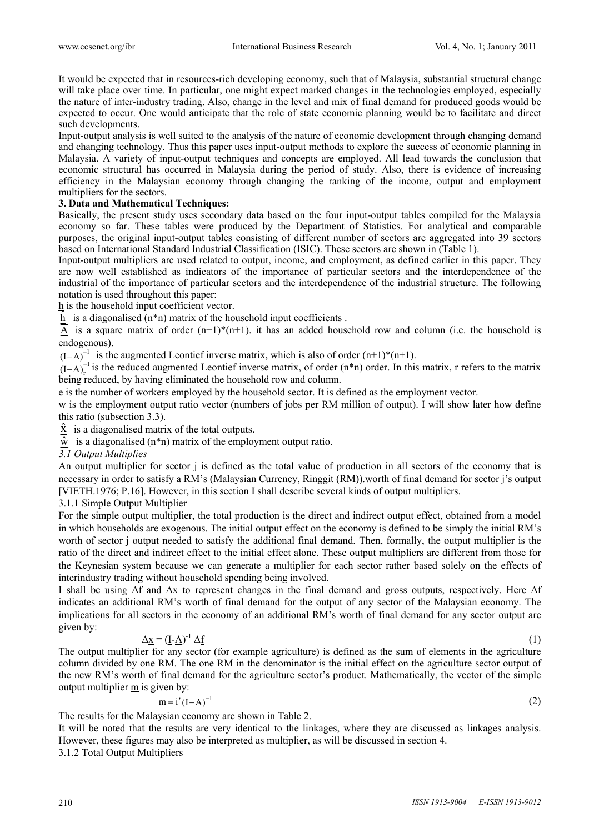It would be expected that in resources-rich developing economy, such that of Malaysia, substantial structural change will take place over time. In particular, one might expect marked changes in the technologies employed, especially the nature of inter-industry trading. Also, change in the level and mix of final demand for produced goods would be expected to occur. One would anticipate that the role of state economic planning would be to facilitate and direct such developments.

Input-output analysis is well suited to the analysis of the nature of economic development through changing demand and changing technology. Thus this paper uses input-output methods to explore the success of economic planning in Malaysia. A variety of input-output techniques and concepts are employed. All lead towards the conclusion that economic structural has occurred in Malaysia during the period of study. Also, there is evidence of increasing efficiency in the Malaysian economy through changing the ranking of the income, output and employment multipliers for the sectors.

# **3. Data and Mathematical Techniques:**

Basically, the present study uses secondary data based on the four input-output tables compiled for the Malaysia economy so far. These tables were produced by the Department of Statistics. For analytical and comparable purposes, the original input-output tables consisting of different number of sectors are aggregated into 39 sectors based on International Standard Industrial Classification (ISIC). These sectors are shown in (Table 1).

Input-output multipliers are used related to output, income, and employment, as defined earlier in this paper. They are now well established as indicators of the importance of particular sectors and the interdependence of the industrial of the importance of particular sectors and the interdependence of the industrial structure. The following notation is used throughout this paper:

h is the household input coefficient vector.

 $\overrightarrow{h}$  is a diagonalised (n\*n) matrix of the household input coefficients.

 $\overline{A}$  is a square matrix of order (n+1)\*(n+1). it has an added household row and column (i.e. the household is endogenous).

 $(I - \overline{A})^{-1}$  is the augmented Leontief inverse matrix, which is also of order  $(n+1)*(n+1)$ .

 $\overline{(I-\overline{A})}_r^{-1}$  is the reduced augmented Leontief inverse matrix, of order (n\*n) order. In this matrix, r refers to the matrix being reduced, by having eliminated the household row and column.

e is the number of workers employed by the household sector. It is defined as the employment vector.

w is the employment output ratio vector (numbers of jobs per RM million of output). I will show later how define this ratio (subsection 3.3).

 $\hat{x}$  is a diagonalised matrix of the total outputs.

 $\hat{w}$  is a diagonalised (n<sup>\*</sup>n) matrix of the employment output ratio.

*3.1 Output Multiplies* 

An output multiplier for sector j is defined as the total value of production in all sectors of the economy that is necessary in order to satisfy a RM's (Malaysian Currency, Ringgit (RM)).worth of final demand for sector j's output [VIETH.1976; P.16]. However, in this section I shall describe several kinds of output multipliers.

3.1.1 Simple Output Multiplier

For the simple output multiplier, the total production is the direct and indirect output effect, obtained from a model in which households are exogenous. The initial output effect on the economy is defined to be simply the initial RM's worth of sector j output needed to satisfy the additional final demand. Then, formally, the output multiplier is the ratio of the direct and indirect effect to the initial effect alone. These output multipliers are different from those for the Keynesian system because we can generate a multiplier for each sector rather based solely on the effects of interindustry trading without household spending being involved.

I shall be using Δf and Δx to represent changes in the final demand and gross outputs, respectively. Here Δf indicates an additional RM's worth of final demand for the output of any sector of the Malaysian economy. The implications for all sectors in the economy of an additional RM's worth of final demand for any sector output are given by:

$$
\Delta \underline{\mathbf{x}} = (\underline{\mathbf{I}} \cdot \underline{\mathbf{A}})^{-1} \Delta \underline{\mathbf{f}} \tag{1}
$$

The output multiplier for any sector (for example agriculture) is defined as the sum of elements in the agriculture column divided by one RM. The one RM in the denominator is the initial effect on the agriculture sector output of the new RM's worth of final demand for the agriculture sector's product. Mathematically, the vector of the simple output multiplier  $\underline{m}$  is given by:

$$
\underline{\mathbf{m}} = \underline{\mathbf{i}}' (\underline{\mathbf{i}} - \underline{\mathbf{A}})^{-1} \tag{2}
$$

The results for the Malaysian economy are shown in Table 2.

It will be noted that the results are very identical to the linkages, where they are discussed as linkages analysis. However, these figures may also be interpreted as multiplier, as will be discussed in section 4. 3.1.2 Total Output Multipliers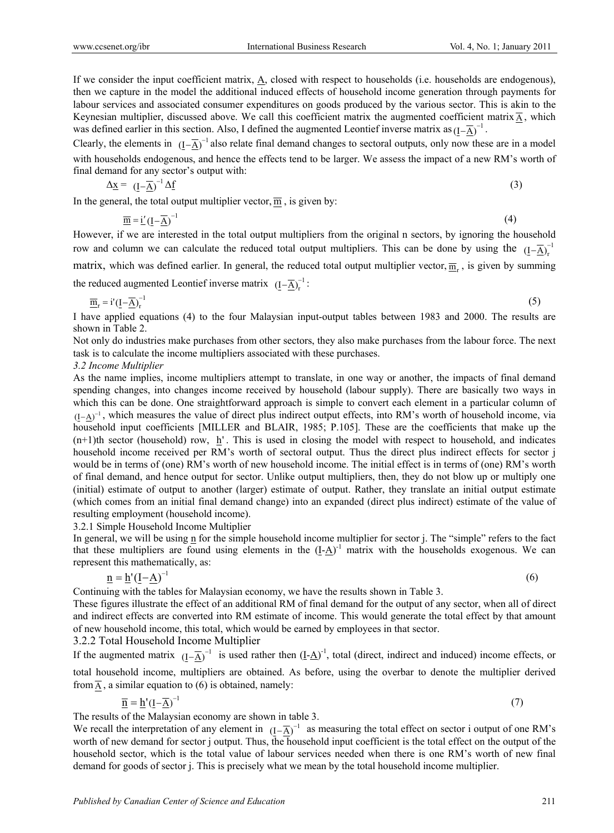If we consider the input coefficient matrix,  $\underline{A}$ , closed with respect to households (i.e. households are endogenous), then we capture in the model the additional induced effects of household income generation through payments for labour services and associated consumer expenditures on goods produced by the various sector. This is akin to the Keynesian multiplier, discussed above. We call this coefficient matrix the augmented coefficient matrix  $\overline{A}$ , which was defined earlier in this section. Also, I defined the augmented Leontief inverse matrix as  $(I - \overline{A})^{-1}$ .

Clearly, the elements in  $(I - \overline{A})^{-1}$  also relate final demand changes to sectoral outputs, only now these are in a model with households endogenous, and hence the effects tend to be larger. We assess the impact of a new RM's worth of final demand for any sector's output with:

$$
\Delta \underline{\mathbf{x}} = (\underline{\mathbf{I}} - \underline{\overline{\mathbf{A}}})^{-1} \Delta \underline{\mathbf{f}} \tag{3}
$$

In the general, the total output multiplier vector,  $\overline{m}$ , is given by:

$$
\underline{\overline{\mathbf{m}}} = \underline{\mathbf{i}}' (\underline{\mathbf{i}} - \underline{\overline{\mathbf{A}}})^{-1} \tag{4}
$$

However, if we are interested in the total output multipliers from the original n sectors, by ignoring the household row and column we can calculate the reduced total output multipliers. This can be done by using the  $(I - \overline{A})_1^{-1}$ matrix, which was defined earlier. In general, the reduced total output multiplier vector,  $\overline{m}_r$ , is given by summing the reduced augmented Leontief inverse matrix  $(I-\overline{\underline{A}})_r^{-1}$ :

$$
\overline{\underline{\mathbf{m}}}_{\mathbf{r}} = \mathbf{i}' (\underline{\mathbf{i}} - \overline{\underline{\mathbf{A}}})_{\mathbf{r}}^{-1} \tag{5}
$$

I have applied equations (4) to the four Malaysian input-output tables between 1983 and 2000. The results are shown in Table 2.

Not only do industries make purchases from other sectors, they also make purchases from the labour force. The next task is to calculate the income multipliers associated with these purchases.

## *3.2 Income Multiplier*

As the name implies, income multipliers attempt to translate, in one way or another, the impacts of final demand spending changes, into changes income received by household (labour supply). There are basically two ways in which this can be done. One straightforward approach is simple to convert each element in a particular column of  $(I-A)^{-1}$ , which measures the value of direct plus indirect output effects, into RM's worth of household income, via household input coefficients [MILLER and BLAIR, 1985; P.105]. These are the coefficients that make up the  $(n+1)$ th sector (household) row,  $\underline{h}$ '. This is used in closing the model with respect to household, and indicates household income received per RM's worth of sectoral output. Thus the direct plus indirect effects for sector j would be in terms of (one) RM's worth of new household income. The initial effect is in terms of (one) RM's worth of final demand, and hence output for sector. Unlike output multipliers, then, they do not blow up or multiply one (initial) estimate of output to another (larger) estimate of output. Rather, they translate an initial output estimate (which comes from an initial final demand change) into an expanded (direct plus indirect) estimate of the value of resulting employment (household income).

3.2.1 Simple Household Income Multiplier

In general, we will be using  $\underline{n}$  for the simple household income multiplier for sector j. The "simple" refers to the fact that these multipliers are found using elements in the  $(I-A)^{-1}$  matrix with the households exogenous. We can represent this mathematically, as:

$$
\underline{\mathbf{n}} = \underline{\mathbf{h}}' (\underline{\mathbf{I}} - \underline{\mathbf{A}})^{-1} \tag{6}
$$

Continuing with the tables for Malaysian economy, we have the results shown in Table 3.

These figures illustrate the effect of an additional RM of final demand for the output of any sector, when all of direct and indirect effects are converted into RM estimate of income. This would generate the total effect by that amount of new household income, this total, which would be earned by employees in that sector.

# 3.2.2 Total Household Income Multiplier

If the augmented matrix  $(I - \overline{A})^{-1}$  is used rather then  $(I - \overline{A})^{-1}$ , total (direct, indirect and induced) income effects, or total household income, multipliers are obtained. As before, using the overbar to denote the multiplier derived from  $\overline{A}$ , a similar equation to (6) is obtained, namely:

$$
\overline{\underline{\mathbf{n}}} = \underline{\mathbf{h}}' (\underline{\mathbf{I}} - \overline{\underline{\mathbf{A}}})^{-1} \tag{7}
$$

The results of the Malaysian economy are shown in table 3.

We recall the interpretation of any element in  $(I - \overline{A})^{-1}$  as measuring the total effect on sector i output of one RM's worth of new demand for sector j output. Thus, the household input coefficient is the total effect on the output of the household sector, which is the total value of labour services needed when there is one RM's worth of new final demand for goods of sector j. This is precisely what we mean by the total household income multiplier.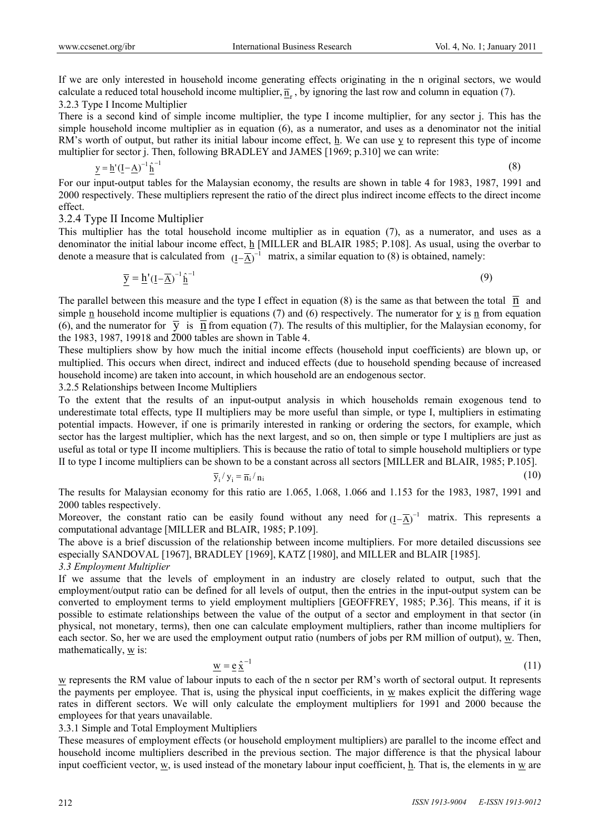If we are only interested in household income generating effects originating in the n original sectors, we would calculate a reduced total household income multiplier,  $\overline{n}_n$ , by ignoring the last row and column in equation (7). 3.2.3 Type I Income Multiplier

There is a second kind of simple income multiplier, the type I income multiplier, for any sector j. This has the simple household income multiplier as in equation (6), as a numerator, and uses as a denominator not the initial RM's worth of output, but rather its initial labour income effect,  $h$ . We can use  $y$  to represent this type of income multiplier for sector j. Then, following BRADLEY and JAMES [1969; p.310] we can write:

$$
y = \underline{h}' (\underline{I} - \underline{A})^{-1} \hat{h}^{-1}
$$
 (8)

For our input-output tables for the Malaysian economy, the results are shown in table 4 for 1983, 1987, 1991 and 2000 respectively. These multipliers represent the ratio of the direct plus indirect income effects to the direct income effect.

# 3.2.4 Type II Income Multiplier

This multiplier has the total household income multiplier as in equation (7), as a numerator, and uses as a denominator the initial labour income effect, h [MILLER and BLAIR 1985; P.108]. As usual, using the overbar to denote a measure that is calculated from  $(I - \overline{A})^{-1}$  matrix, a similar equation to (8) is obtained, namely:

$$
\underline{\overline{y}} = \underline{h}^{\prime} (\underline{I} - \overline{A})^{-1} \underline{\hat{h}}^{-1}
$$
\n(9)

The parallel between this measure and the type I effect in equation (8) is the same as that between the total  $\overline{n}$  and simple  $\underline{n}$  household income multiplier is equations (7) and (6) respectively. The numerator for  $\underline{y}$  is  $\underline{n}$  from equation (6), and the numerator for  $\bar{y}$  is  $\bar{n}$  from equation (7). The results of this multiplier, for the Malaysian economy, for the 1983, 1987, 19918 and 2000 tables are shown in Table 4.

These multipliers show by how much the initial income effects (household input coefficients) are blown up, or multiplied. This occurs when direct, indirect and induced effects (due to household spending because of increased household income) are taken into account, in which household are an endogenous sector.

3.2.5 Relationships between Income Multipliers

To the extent that the results of an input-output analysis in which households remain exogenous tend to underestimate total effects, type II multipliers may be more useful than simple, or type I, multipliers in estimating potential impacts. However, if one is primarily interested in ranking or ordering the sectors, for example, which sector has the largest multiplier, which has the next largest, and so on, then simple or type I multipliers are just as useful as total or type II income multipliers. This is because the ratio of total to simple household multipliers or type II to type I income multipliers can be shown to be a constant across all sectors [MILLER and BLAIR, 1985; P.105].

$$
\overline{y}_i / y_i = \overline{n}_i / n_i \tag{10}
$$

The results for Malaysian economy for this ratio are 1.065, 1.068, 1.066 and 1.153 for the 1983, 1987, 1991 and 2000 tables respectively.

Moreover, the constant ratio can be easily found without any need for  $(I - \overline{A})^{-1}$  matrix. This represents a computational advantage [MILLER and BLAIR, 1985; P.109].

The above is a brief discussion of the relationship between income multipliers. For more detailed discussions see especially SANDOVAL [1967], BRADLEY [1969], KATZ [1980], and MILLER and BLAIR [1985].

## *3.3 Employment Multiplier*

If we assume that the levels of employment in an industry are closely related to output, such that the employment/output ratio can be defined for all levels of output, then the entries in the input-output system can be converted to employment terms to yield employment multipliers [GEOFFREY, 1985; P.36]. This means, if it is possible to estimate relationships between the value of the output of a sector and employment in that sector (in physical, not monetary, terms), then one can calculate employment multipliers, rather than income multipliers for each sector. So, her we are used the employment output ratio (numbers of jobs per RM million of output), w. Then, mathematically,  $\underline{w}$  is:

$$
\underline{\mathbf{w}} = \underline{\mathbf{e}} \, \hat{\underline{\mathbf{x}}}^{-1} \tag{11}
$$

w represents the RM value of labour inputs to each of the n sector per RM's worth of sectoral output. It represents the payments per employee. That is, using the physical input coefficients, in  $w$  makes explicit the differing wage rates in different sectors. We will only calculate the employment multipliers for 1991 and 2000 because the employees for that years unavailable.

## 3.3.1 Simple and Total Employment Multipliers

These measures of employment effects (or household employment multipliers) are parallel to the income effect and household income multipliers described in the previous section. The major difference is that the physical labour input coefficient vector,  $\underline{w}$ , is used instead of the monetary labour input coefficient,  $\underline{h}$ . That is, the elements in  $\underline{w}$  are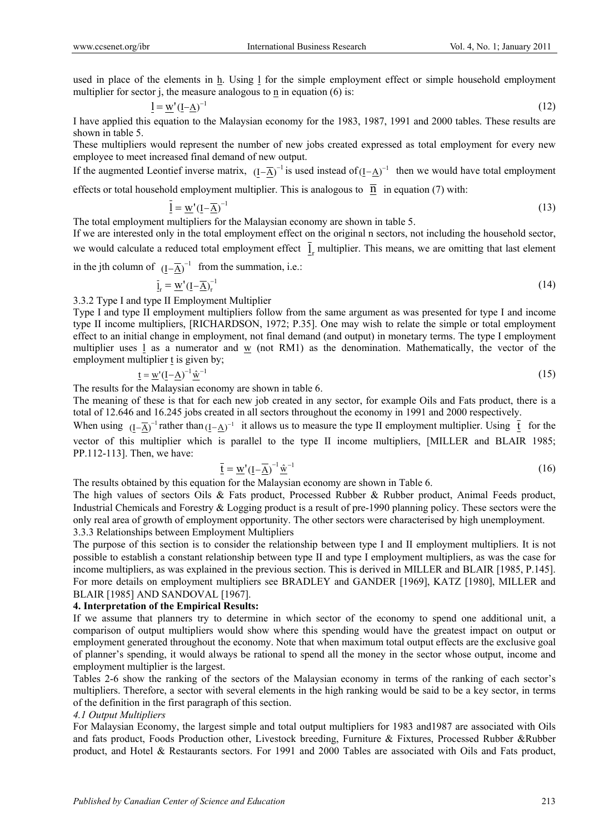used in place of the elements in h. Using l for the simple employment effect or simple household employment multiplier for sector j, the measure analogous to  $\underline{n}$  in equation (6) is:

$$
\underline{\mathbf{l}} = \underline{\mathbf{w}}^{\prime} (\underline{\mathbf{l}} - \underline{\mathbf{A}})^{-1} \tag{12}
$$

I have applied this equation to the Malaysian economy for the 1983, 1987, 1991 and 2000 tables. These results are shown in table 5.

These multipliers would represent the number of new jobs created expressed as total employment for every new employee to meet increased final demand of new output.

If the augmented Leontief inverse matrix,  $(I - \overline{A})^{-1}$  is used instead of $(I - A)^{-1}$  then we would have total employment effects or total household employment multiplier. This is analogous to  $\overline{\mathbf{n}}$  in equation (7) with:

 $\bar{l} = w'(I - \bar{A})^{-1}$  (13)

The total employment multipliers for the Malaysian economy are shown in table 5.

If we are interested only in the total employment effect on the original n sectors, not including the household sector, we would calculate a reduced total employment effect  $\bar{I}_r$  multiplier. This means, we are omitting that last element

in the jth column of  $(I - \overline{A})^{-1}$  from the summation, i.e.:

$$
\underline{\bar{\mathbf{I}}}_{\mathbf{r}} = \underline{\mathbf{w}}^{\mathsf{r}} (\underline{\mathbf{I}} - \underline{\mathbf{A}})_{\mathbf{r}}^{-1} \tag{14}
$$

3.3.2 Type I and type II Employment Multiplier

Type I and type II employment multipliers follow from the same argument as was presented for type I and income type II income multipliers, [RICHARDSON, 1972; P.35]. One may wish to relate the simple or total employment effect to an initial change in employment, not final demand (and output) in monetary terms. The type I employment multiplier uses  $\frac{1}{k}$  as a numerator and  $\frac{w}{k}$  (not RM1) as the denomination. Mathematically, the vector of the employment multiplier  $t$  is given by;</u>

$$
\underline{\mathbf{t}} = \underline{\mathbf{w}}^{\prime} (\underline{\mathbf{I}} - \underline{\mathbf{A}})^{-1} \hat{\underline{\mathbf{w}}}^{-1} \tag{15}
$$

The results for the Malaysian economy are shown in table 6.

The meaning of these is that for each new job created in any sector, for example Oils and Fats product, there is a total of 12.646 and 16.245 jobs created in all sectors throughout the economy in 1991 and 2000 respectively.

When using  $(I - \overline{A})^{-1}$  rather than  $(I - A)^{-1}$  it allows us to measure the type II employment multiplier. Using  $\overline{t}$  for the vector of this multiplier which is parallel to the type II income multipliers, [MILLER and BLAIR 1985; PP.112-113]. Then, we have:

$$
\overline{\underline{\mathbf{t}}} = \underline{\mathbf{w}}' (\underline{\mathbf{I}} - \overline{\underline{\mathbf{A}}})^{-1} \hat{\underline{\mathbf{w}}}^{-1} \tag{16}
$$

The results obtained by this equation for the Malaysian economy are shown in Table 6.

The high values of sectors Oils & Fats product, Processed Rubber & Rubber product, Animal Feeds product, Industrial Chemicals and Forestry & Logging product is a result of pre-1990 planning policy. These sectors were the only real area of growth of employment opportunity. The other sectors were characterised by high unemployment. 3.3.3 Relationships between Employment Multipliers

The purpose of this section is to consider the relationship between type I and II employment multipliers. It is not possible to establish a constant relationship between type II and type I employment multipliers, as was the case for income multipliers, as was explained in the previous section. This is derived in MILLER and BLAIR [1985, P.145]. For more details on employment multipliers see BRADLEY and GANDER [1969], KATZ [1980], MILLER and BLAIR [1985] AND SANDOVAL [1967].

## **4. Interpretation of the Empirical Results:**

If we assume that planners try to determine in which sector of the economy to spend one additional unit, a comparison of output multipliers would show where this spending would have the greatest impact on output or employment generated throughout the economy. Note that when maximum total output effects are the exclusive goal of planner's spending, it would always be rational to spend all the money in the sector whose output, income and employment multiplier is the largest.

Tables 2-6 show the ranking of the sectors of the Malaysian economy in terms of the ranking of each sector's multipliers. Therefore, a sector with several elements in the high ranking would be said to be a key sector, in terms of the definition in the first paragraph of this section.

## *4.1 Output Multipliers*

For Malaysian Economy, the largest simple and total output multipliers for 1983 and1987 are associated with Oils and fats product, Foods Production other, Livestock breeding, Furniture & Fixtures, Processed Rubber &Rubber product, and Hotel & Restaurants sectors. For 1991 and 2000 Tables are associated with Oils and Fats product,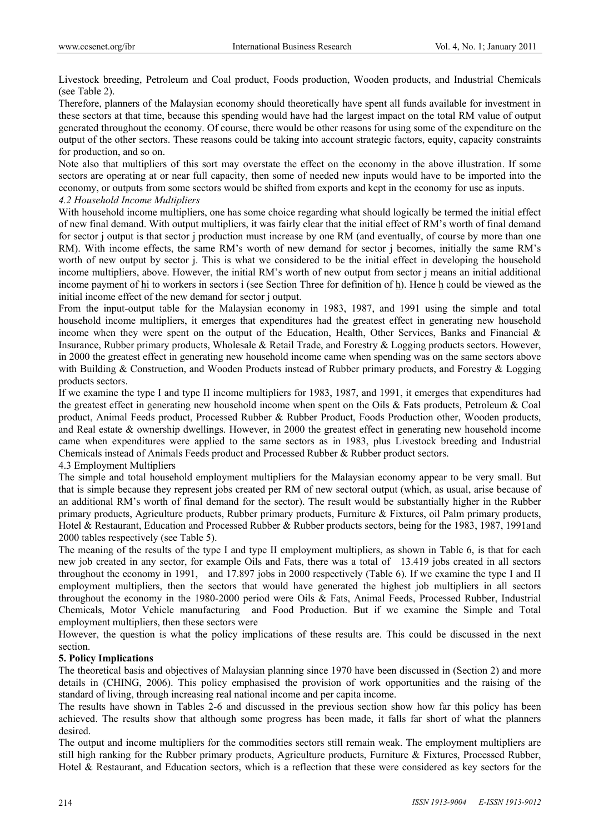Livestock breeding, Petroleum and Coal product, Foods production, Wooden products, and Industrial Chemicals (see Table 2).

Therefore, planners of the Malaysian economy should theoretically have spent all funds available for investment in these sectors at that time, because this spending would have had the largest impact on the total RM value of output generated throughout the economy. Of course, there would be other reasons for using some of the expenditure on the output of the other sectors. These reasons could be taking into account strategic factors, equity, capacity constraints for production, and so on.

Note also that multipliers of this sort may overstate the effect on the economy in the above illustration. If some sectors are operating at or near full capacity, then some of needed new inputs would have to be imported into the economy, or outputs from some sectors would be shifted from exports and kept in the economy for use as inputs. *4.2 Household Income Multipliers* 

With household income multipliers, one has some choice regarding what should logically be termed the initial effect of new final demand. With output multipliers, it was fairly clear that the initial effect of RM's worth of final demand for sector j output is that sector j production must increase by one RM (and eventually, of course by more than one RM). With income effects, the same RM's worth of new demand for sector j becomes, initially the same RM's worth of new output by sector j. This is what we considered to be the initial effect in developing the household income multipliers, above. However, the initial RM's worth of new output from sector j means an initial additional income payment of hi to workers in sectors i (see Section Three for definition of h). Hence h could be viewed as the initial income effect of the new demand for sector j output.

From the input-output table for the Malaysian economy in 1983, 1987, and 1991 using the simple and total household income multipliers, it emerges that expenditures had the greatest effect in generating new household income when they were spent on the output of the Education, Health, Other Services, Banks and Financial  $\&$ Insurance, Rubber primary products, Wholesale & Retail Trade, and Forestry & Logging products sectors. However, in 2000 the greatest effect in generating new household income came when spending was on the same sectors above with Building & Construction, and Wooden Products instead of Rubber primary products, and Forestry & Logging products sectors.

If we examine the type I and type II income multipliers for 1983, 1987, and 1991, it emerges that expenditures had the greatest effect in generating new household income when spent on the Oils & Fats products, Petroleum & Coal product, Animal Feeds product, Processed Rubber & Rubber Product, Foods Production other, Wooden products, and Real estate & ownership dwellings. However, in 2000 the greatest effect in generating new household income came when expenditures were applied to the same sectors as in 1983, plus Livestock breeding and Industrial Chemicals instead of Animals Feeds product and Processed Rubber & Rubber product sectors.

## 4.3 Employment Multipliers

The simple and total household employment multipliers for the Malaysian economy appear to be very small. But that is simple because they represent jobs created per RM of new sectoral output (which, as usual, arise because of an additional RM's worth of final demand for the sector). The result would be substantially higher in the Rubber primary products, Agriculture products, Rubber primary products, Furniture & Fixtures, oil Palm primary products, Hotel & Restaurant, Education and Processed Rubber & Rubber products sectors, being for the 1983, 1987, 1991and 2000 tables respectively (see Table 5).

The meaning of the results of the type I and type II employment multipliers, as shown in Table 6, is that for each new job created in any sector, for example Oils and Fats, there was a total of 13.419 jobs created in all sectors throughout the economy in 1991, and 17.897 jobs in 2000 respectively (Table 6). If we examine the type I and II employment multipliers, then the sectors that would have generated the highest job multipliers in all sectors throughout the economy in the 1980-2000 period were Oils & Fats, Animal Feeds, Processed Rubber, Industrial Chemicals, Motor Vehicle manufacturing and Food Production. But if we examine the Simple and Total employment multipliers, then these sectors were

However, the question is what the policy implications of these results are. This could be discussed in the next section.

## **5. Policy Implications**

The theoretical basis and objectives of Malaysian planning since 1970 have been discussed in (Section 2) and more details in (CHING, 2006). This policy emphasised the provision of work opportunities and the raising of the standard of living, through increasing real national income and per capita income.

The results have shown in Tables 2-6 and discussed in the previous section show how far this policy has been achieved. The results show that although some progress has been made, it falls far short of what the planners desired.

The output and income multipliers for the commodities sectors still remain weak. The employment multipliers are still high ranking for the Rubber primary products, Agriculture products, Furniture & Fixtures, Processed Rubber, Hotel & Restaurant, and Education sectors, which is a reflection that these were considered as key sectors for the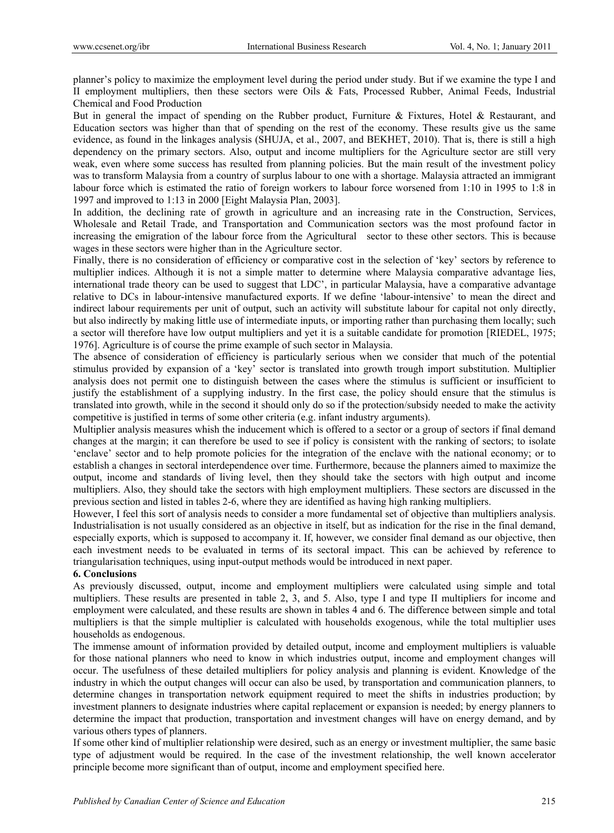planner's policy to maximize the employment level during the period under study. But if we examine the type I and II employment multipliers, then these sectors were Oils & Fats, Processed Rubber, Animal Feeds, Industrial Chemical and Food Production

But in general the impact of spending on the Rubber product, Furniture & Fixtures, Hotel & Restaurant, and Education sectors was higher than that of spending on the rest of the economy. These results give us the same evidence, as found in the linkages analysis (SHUJA, et al., 2007, and BEKHET, 2010). That is, there is still a high dependency on the primary sectors. Also, output and income multipliers for the Agriculture sector are still very weak, even where some success has resulted from planning policies. But the main result of the investment policy was to transform Malaysia from a country of surplus labour to one with a shortage. Malaysia attracted an immigrant labour force which is estimated the ratio of foreign workers to labour force worsened from 1:10 in 1995 to 1:8 in 1997 and improved to 1:13 in 2000 [Eight Malaysia Plan, 2003].

In addition, the declining rate of growth in agriculture and an increasing rate in the Construction, Services, Wholesale and Retail Trade, and Transportation and Communication sectors was the most profound factor in increasing the emigration of the labour force from the Agricultural sector to these other sectors. This is because wages in these sectors were higher than in the Agriculture sector.

Finally, there is no consideration of efficiency or comparative cost in the selection of 'key' sectors by reference to multiplier indices. Although it is not a simple matter to determine where Malaysia comparative advantage lies, international trade theory can be used to suggest that LDC', in particular Malaysia, have a comparative advantage relative to DCs in labour-intensive manufactured exports. If we define 'labour-intensive' to mean the direct and indirect labour requirements per unit of output, such an activity will substitute labour for capital not only directly, but also indirectly by making little use of intermediate inputs, or importing rather than purchasing them locally; such a sector will therefore have low output multipliers and yet it is a suitable candidate for promotion [RIEDEL, 1975; 1976]. Agriculture is of course the prime example of such sector in Malaysia.

The absence of consideration of efficiency is particularly serious when we consider that much of the potential stimulus provided by expansion of a 'key' sector is translated into growth trough import substitution. Multiplier analysis does not permit one to distinguish between the cases where the stimulus is sufficient or insufficient to justify the establishment of a supplying industry. In the first case, the policy should ensure that the stimulus is translated into growth, while in the second it should only do so if the protection/subsidy needed to make the activity competitive is justified in terms of some other criteria (e.g. infant industry arguments).

Multiplier analysis measures whish the inducement which is offered to a sector or a group of sectors if final demand changes at the margin; it can therefore be used to see if policy is consistent with the ranking of sectors; to isolate 'enclave' sector and to help promote policies for the integration of the enclave with the national economy; or to establish a changes in sectoral interdependence over time. Furthermore, because the planners aimed to maximize the output, income and standards of living level, then they should take the sectors with high output and income multipliers. Also, they should take the sectors with high employment multipliers. These sectors are discussed in the previous section and listed in tables 2-6, where they are identified as having high ranking multipliers.

However, I feel this sort of analysis needs to consider a more fundamental set of objective than multipliers analysis. Industrialisation is not usually considered as an objective in itself, but as indication for the rise in the final demand, especially exports, which is supposed to accompany it. If, however, we consider final demand as our objective, then each investment needs to be evaluated in terms of its sectoral impact. This can be achieved by reference to triangularisation techniques, using input-output methods would be introduced in next paper.

## **6. Conclusions**

As previously discussed, output, income and employment multipliers were calculated using simple and total multipliers. These results are presented in table 2, 3, and 5. Also, type I and type II multipliers for income and employment were calculated, and these results are shown in tables 4 and 6. The difference between simple and total multipliers is that the simple multiplier is calculated with households exogenous, while the total multiplier uses households as endogenous.

The immense amount of information provided by detailed output, income and employment multipliers is valuable for those national planners who need to know in which industries output, income and employment changes will occur. The usefulness of these detailed multipliers for policy analysis and planning is evident. Knowledge of the industry in which the output changes will occur can also be used, by transportation and communication planners, to determine changes in transportation network equipment required to meet the shifts in industries production; by investment planners to designate industries where capital replacement or expansion is needed; by energy planners to determine the impact that production, transportation and investment changes will have on energy demand, and by various others types of planners.

If some other kind of multiplier relationship were desired, such as an energy or investment multiplier, the same basic type of adjustment would be required. In the case of the investment relationship, the well known accelerator principle become more significant than of output, income and employment specified here.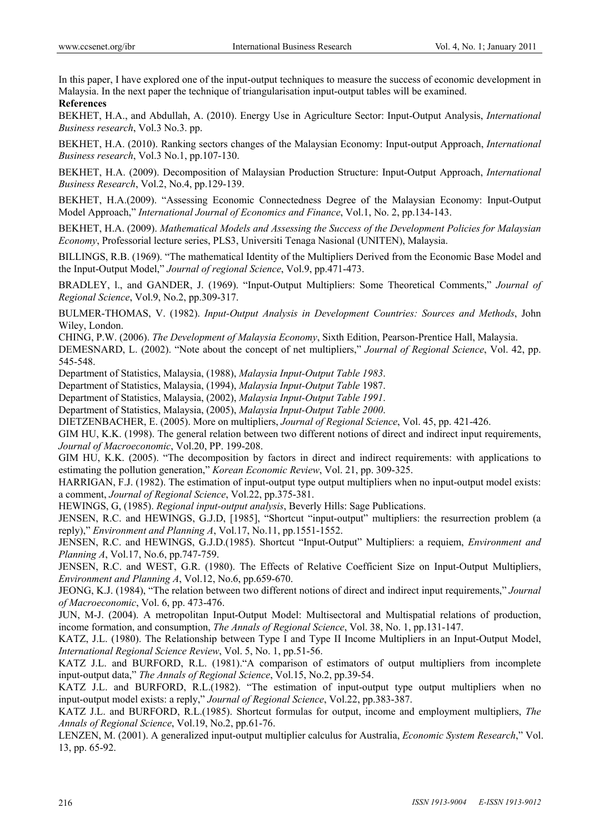In this paper, I have explored one of the input-output techniques to measure the success of economic development in Malaysia. In the next paper the technique of triangularisation input-output tables will be examined. **References** 

BEKHET, H.A., and Abdullah, A. (2010). Energy Use in Agriculture Sector: Input-Output Analysis, *International Business research*, Vol.3 No.3. pp.

BEKHET, H.A. (2010). Ranking sectors changes of the Malaysian Economy: Input-output Approach, *International Business research*, Vol.3 No.1, pp.107-130.

BEKHET, H.A. (2009). Decomposition of Malaysian Production Structure: Input-Output Approach, *International Business Research*, Vol.2, No.4, pp.129-139.

BEKHET, H.A.(2009). "Assessing Economic Connectedness Degree of the Malaysian Economy: Input-Output Model Approach," *International Journal of Economics and Finance*, Vol.1, No. 2, pp.134-143.

BEKHET, H.A. (2009). *Mathematical Models and Assessing the Success of the Development Policies for Malaysian Economy*, Professorial lecture series, PLS3, Universiti Tenaga Nasional (UNITEN), Malaysia.

BILLINGS, R.B. (1969). "The mathematical Identity of the Multipliers Derived from the Economic Base Model and the Input-Output Model," *Journal of regional Science*, Vol.9, pp.471-473.

BRADLEY, l., and GANDER, J. (1969). "Input-Output Multipliers: Some Theoretical Comments," *Journal of Regional Science*, Vol.9, No.2, pp.309-317.

BULMER-THOMAS, V. (1982). *Input-Output Analysis in Development Countries: Sources and Methods*, John Wiley, London.

CHING, P.W. (2006). *The Development of Malaysia Economy*, Sixth Edition, Pearson-Prentice Hall, Malaysia.

DEMESNARD, L. (2002). "Note about the concept of net multipliers," *Journal of Regional Science*, Vol. 42, pp. 545-548.

Department of Statistics, Malaysia, (1988), *Malaysia Input-Output Table 1983*.

Department of Statistics, Malaysia, (1994), *Malaysia Input-Output Table* 1987.

Department of Statistics, Malaysia, (2002), *Malaysia Input-Output Table 1991*.

Department of Statistics, Malaysia, (2005), *Malaysia Input-Output Table 2000*.

DIETZENBACHER, E. (2005). More on multipliers, *Journal of Regional Science*, Vol. 45, pp. 421-426.

GIM HU, K.K. (1998). The general relation between two different notions of direct and indirect input requirements, *Journal of Macroeconomic*, Vol.20, PP. 199-208.

GIM HU, K.K. (2005). "The decomposition by factors in direct and indirect requirements: with applications to estimating the pollution generation," *Korean Economic Review*, Vol. 21, pp. 309-325.

HARRIGAN, F.J. (1982). The estimation of input-output type output multipliers when no input-output model exists: a comment, *Journal of Regional Science*, Vol.22, pp.375-381.

HEWINGS, G, (1985). *Regional input-output analysis*, Beverly Hills: Sage Publications.

JENSEN, R.C. and HEWINGS, G.J.D, [1985], "Shortcut "input-output" multipliers: the resurrection problem (a reply)," *Environment and Planning A*, Vol.17, No.11, pp.1551-1552.

JENSEN, R.C. and HEWINGS, G.J.D.(1985). Shortcut "Input-Output" Multipliers: a requiem, *Environment and Planning A*, Vol.17, No.6, pp.747-759.

JENSEN, R.C. and WEST, G.R. (1980). The Effects of Relative Coefficient Size on Input-Output Multipliers, *Environment and Planning A*, Vol.12, No.6, pp.659-670.

JEONG, K.J. (1984), "The relation between two different notions of direct and indirect input requirements," *Journal of Macroeconomic*, Vol. 6, pp. 473-476.

JUN, M-J. (2004). A metropolitan Input-Output Model: Multisectoral and Multispatial relations of production, income formation, and consumption, *The Annals of Regional Science*, Vol. 38, No. 1, pp.131-147.

KATZ, J.L. (1980). The Relationship between Type I and Type II Income Multipliers in an Input-Output Model, *International Regional Science Review*, Vol. 5, No. 1, pp.51-56.

KATZ J.L. and BURFORD, R.L. (1981)."A comparison of estimators of output multipliers from incomplete input-output data," *The Annals of Regional Science*, Vol.15, No.2, pp.39-54.

KATZ J.L. and BURFORD, R.L.(1982). "The estimation of input-output type output multipliers when no input-output model exists: a reply," *Journal of Regional Science*, Vol.22, pp.383-387.

KATZ J.L. and BURFORD, R.L.(1985). Shortcut formulas for output, income and employment multipliers, *The Annals of Regional Science*, Vol.19, No.2, pp.61-76.

LENZEN, M. (2001). A generalized input-output multiplier calculus for Australia, *Economic System Research*," Vol. 13, pp. 65-92.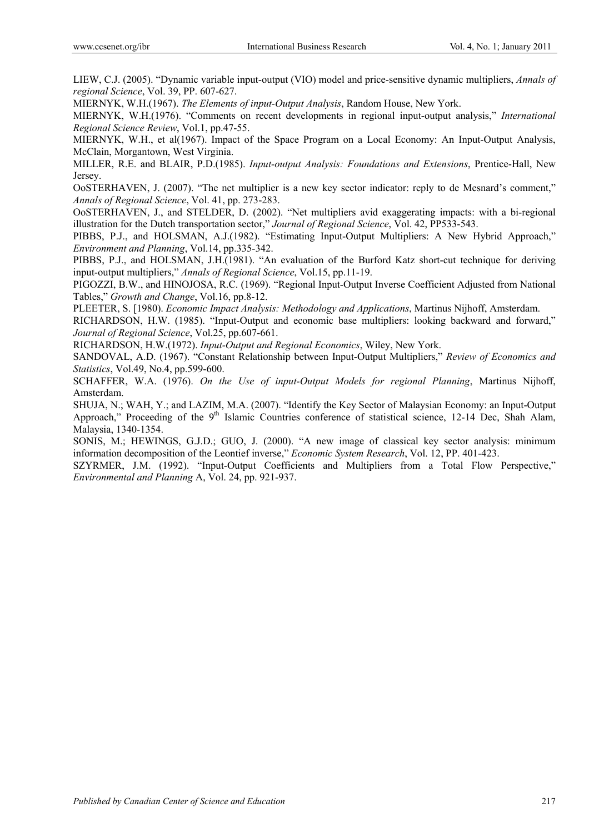LIEW, C.J. (2005). "Dynamic variable input-output (VIO) model and price-sensitive dynamic multipliers, *Annals of regional Science*, Vol. 39, PP. 607-627.

MIERNYK, W.H.(1967). *The Elements of input-Output Analysis*, Random House, New York.

MIERNYK, W.H.(1976). "Comments on recent developments in regional input-output analysis," *International Regional Science Review*, Vol.1, pp.47-55.

MIERNYK, W.H., et al(1967). Impact of the Space Program on a Local Economy: An Input-Output Analysis, McClain, Morgantown, West Virginia.

MILLER, R.E. and BLAIR, P.D.(1985). *Input-output Analysis: Foundations and Extensions*, Prentice-Hall, New Jersey.

OoSTERHAVEN, J. (2007). "The net multiplier is a new key sector indicator: reply to de Mesnard's comment," *Annals of Regional Science*, Vol. 41, pp. 273-283.

OoSTERHAVEN, J., and STELDER, D. (2002). "Net multipliers avid exaggerating impacts: with a bi-regional illustration for the Dutch transportation sector," *Journal of Regional Science*, Vol. 42, PP533-543.

PIBBS, P.J., and HOLSMAN, A.J.(1982). "Estimating Input-Output Multipliers: A New Hybrid Approach," *Environment and Planning*, Vol.14, pp.335-342.

PIBBS, P.J., and HOLSMAN, J.H.(1981). "An evaluation of the Burford Katz short-cut technique for deriving input-output multipliers," *Annals of Regional Science*, Vol.15, pp.11-19.

PIGOZZI, B.W., and HINOJOSA, R.C. (1969). "Regional Input-Output Inverse Coefficient Adjusted from National Tables," *Growth and Change*, Vol.16, pp.8-12.

PLEETER, S. [1980). *Economic Impact Analysis: Methodology and Applications*, Martinus Nijhoff, Amsterdam.

RICHARDSON, H.W. (1985). "Input-Output and economic base multipliers: looking backward and forward," *Journal of Regional Science*, Vol.25, pp.607-661.

RICHARDSON, H.W.(1972). *Input-Output and Regional Economics*, Wiley, New York.

SANDOVAL, A.D. (1967). "Constant Relationship between Input-Output Multipliers," *Review of Economics and Statistics*, Vol.49, No.4, pp.599-600.

SCHAFFER, W.A. (1976). *On the Use of input-Output Models for regional Planning*, Martinus Nijhoff, Amsterdam.

SHUJA, N.; WAH, Y.; and LAZIM, M.A. (2007). "Identify the Key Sector of Malaysian Economy: an Input-Output Approach," Proceeding of the 9<sup>th</sup> Islamic Countries conference of statistical science, 12-14 Dec, Shah Alam, Malaysia, 1340-1354.

SONIS, M.; HEWINGS, G.J.D.; GUO, J. (2000). "A new image of classical key sector analysis: minimum information decomposition of the Leontief inverse," *Economic System Research*, Vol. 12, PP. 401-423.

SZYRMER, J.M. (1992). "Input-Output Coefficients and Multipliers from a Total Flow Perspective," *Environmental and Planning* A, Vol. 24, pp. 921-937.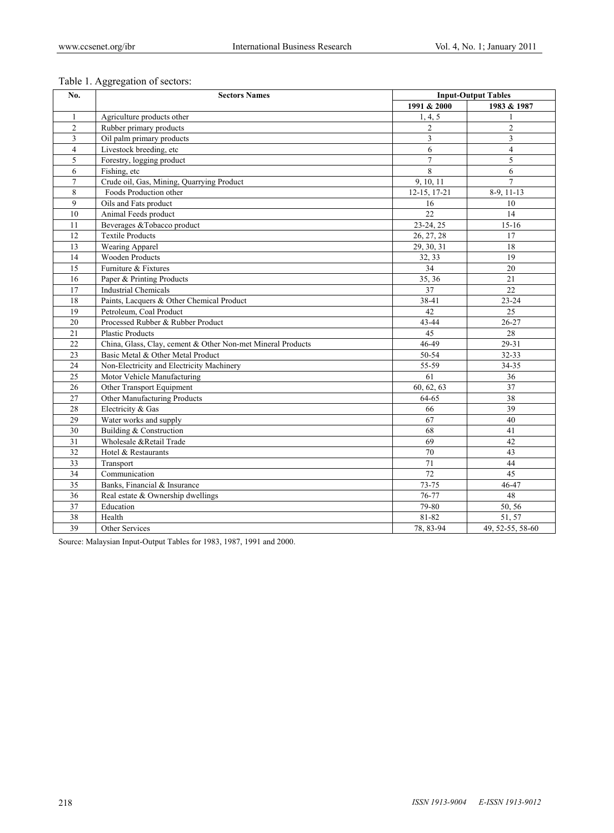|  | Table 1. Aggregation of sectors: |  |  |
|--|----------------------------------|--|--|
|--|----------------------------------|--|--|

| No.            | <b>Sectors Names</b>                                        | <b>Input-Output Tables</b> |                  |  |  |  |  |  |
|----------------|-------------------------------------------------------------|----------------------------|------------------|--|--|--|--|--|
|                |                                                             | 1991 & 2000                | 1983 & 1987      |  |  |  |  |  |
| $\mathbf{1}$   | Agriculture products other                                  | 1, 4, 5                    | 1                |  |  |  |  |  |
| $\overline{c}$ | Rubber primary products                                     | $\overline{c}$             | $\overline{c}$   |  |  |  |  |  |
| 3              | Oil palm primary products                                   | 3                          | $\overline{3}$   |  |  |  |  |  |
| $\overline{4}$ | Livestock breeding, etc                                     | 6                          | $\overline{4}$   |  |  |  |  |  |
| 5              | Forestry, logging product                                   | $\overline{7}$             | 5                |  |  |  |  |  |
| 6              | Fishing, etc                                                | 8                          | 6                |  |  |  |  |  |
| $\overline{7}$ | Crude oil, Gas, Mining, Quarrying Product                   | 9, 10, 11                  | $\overline{7}$   |  |  |  |  |  |
| 8              | Foods Production other                                      | 12-15, 17-21               | 8-9, 11-13       |  |  |  |  |  |
| 9              | Oils and Fats product                                       | 16                         | 10               |  |  |  |  |  |
| 10             | Animal Feeds product                                        | 22                         | 14               |  |  |  |  |  |
| 11             | Beverages & Tobacco product                                 | 23-24, 25                  | $15 - 16$        |  |  |  |  |  |
| 12             | <b>Textile Products</b>                                     | 26, 27, 28                 | 17               |  |  |  |  |  |
| 13             | Wearing Apparel                                             | 29, 30, 31                 | 18               |  |  |  |  |  |
| 14             | <b>Wooden Products</b>                                      | 32, 33                     | 19               |  |  |  |  |  |
| 15             | Furniture & Fixtures                                        | 34                         | 20               |  |  |  |  |  |
| 16             | Paper & Printing Products                                   | 35, 36                     | 21               |  |  |  |  |  |
| 17             | <b>Industrial Chemicals</b>                                 | 37                         | 22               |  |  |  |  |  |
| 18             | Paints, Lacquers & Other Chemical Product                   | 38-41                      | $23 - 24$        |  |  |  |  |  |
| 19             | Petroleum, Coal Product                                     | 42                         | 25               |  |  |  |  |  |
| 20             | Processed Rubber & Rubber Product                           | $43 - 44$                  | $26 - 27$        |  |  |  |  |  |
| 21             | <b>Plastic Products</b>                                     | 45                         | 28               |  |  |  |  |  |
| 22             | China, Glass, Clay, cement & Other Non-met Mineral Products | 46-49                      | 29-31            |  |  |  |  |  |
| 23             | Basic Metal & Other Metal Product                           | 50-54                      | 32-33            |  |  |  |  |  |
| 24             | Non-Electricity and Electricity Machinery                   | 55-59                      | 34-35            |  |  |  |  |  |
| 25             | Motor Vehicle Manufacturing                                 | 61                         | 36               |  |  |  |  |  |
| 26             | Other Transport Equipment                                   | 60, 62, 63                 | 37               |  |  |  |  |  |
| 27             | Other Manufacturing Products                                | 64-65                      | 38               |  |  |  |  |  |
| 28             | Electricity & Gas                                           | 66                         | 39               |  |  |  |  |  |
| 29             | Water works and supply                                      | 67                         | 40               |  |  |  |  |  |
| 30             | Building & Construction                                     | 68                         | 41               |  |  |  |  |  |
| 31             | Wholesale &Retail Trade                                     | 69                         | 42               |  |  |  |  |  |
| 32             | Hotel & Restaurants                                         | 70                         | 43               |  |  |  |  |  |
| 33             | Transport                                                   | 71                         | 44               |  |  |  |  |  |
| 34             | Communication                                               | 72                         | 45               |  |  |  |  |  |
| 35             | Banks, Financial & Insurance                                | 73-75                      | 46-47            |  |  |  |  |  |
| 36             | Real estate & Ownership dwellings                           | 76-77                      | 48               |  |  |  |  |  |
| 37             | Education                                                   | 79-80                      | 50, 56           |  |  |  |  |  |
| 38             | Health                                                      | 81-82                      | 51, 57           |  |  |  |  |  |
| 39             | Other Services                                              | 78, 83-94                  | 49, 52-55, 58-60 |  |  |  |  |  |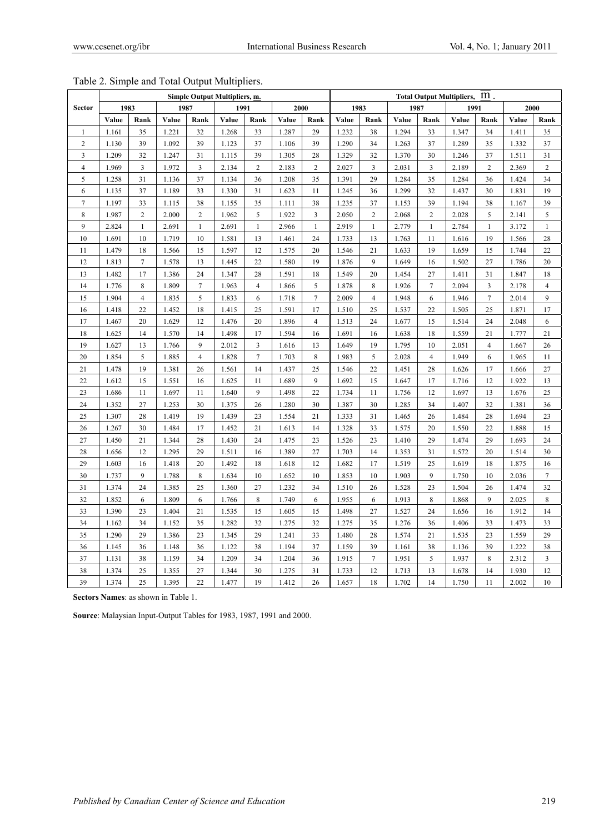|                | Simple Output Multipliers, m. |                |       |                 |       |                |       |                |       | Total Output Multipliers, M. |       |                |       |                         |              |                |  |  |
|----------------|-------------------------------|----------------|-------|-----------------|-------|----------------|-------|----------------|-------|------------------------------|-------|----------------|-------|-------------------------|--------------|----------------|--|--|
| <b>Sector</b>  | 1983                          |                | 1987  |                 | 1991  |                | 2000  |                | 1983  |                              |       | 1987           |       |                         | 1991<br>2000 |                |  |  |
|                | Value                         | Rank           | Value | Rank            | Value | Rank           | Value | Rank           | Value | Rank                         | Value | Rank           | Value | Rank                    | Value        | Rank           |  |  |
| $\mathbf{1}$   | 1.161                         | 35             | 1.221 | 32              | 1.268 | 33             | 1.287 | 29             | 1.232 | 38                           | 1.294 | 33             | 1.347 | 34                      | 1.411        | 35             |  |  |
| $\overline{2}$ | 1.130                         | 39             | 1.092 | 39              | 1.123 | 37             | 1.106 | 39             | 1.290 | 34                           | 1.263 | 37             | 1.289 | 35                      | 1.332        | 37             |  |  |
| 3              | 1.209                         | 32             | 1.247 | 31              | 1.115 | 39             | 1.305 | 28             | 1.329 | 32                           | 1.370 | 30             | 1.246 | 37                      | 1.511        | 31             |  |  |
| $\sqrt{4}$     | 1.969                         | $\mathfrak{Z}$ | 1.972 | $\mathfrak{Z}$  | 2.134 | $\overline{c}$ | 2.183 | $\sqrt{2}$     | 2.027 | $\mathfrak{Z}$               | 2.031 | 3              | 2.189 | $\sqrt{2}$              | 2.369        | $\sqrt{2}$     |  |  |
| 5              | 1.258                         | 31             | 1.136 | 37              | 1.134 | 36             | 1.208 | 35             | 1.391 | 29                           | 1.284 | 35             | 1.284 | 36                      | 1.424        | 34             |  |  |
| 6              | 1.135                         | 37             | 1.189 | 33              | 1.330 | 31             | 1.623 | 11             | 1.245 | 36                           | 1.299 | 32             | 1.437 | 30                      | 1.831        | 19             |  |  |
| $\overline{7}$ | 1.197                         | 33             | 1.115 | 38              | 1.155 | 35             | 1.111 | 38             | 1.235 | 37                           | 1.153 | 39             | 1.194 | 38                      | 1.167        | 39             |  |  |
| $\,$ 8 $\,$    | 1.987                         | 2              | 2.000 | $\overline{c}$  | 1.962 | 5              | 1.922 | 3              | 2.050 | $\overline{c}$               | 2.068 | $\overline{c}$ | 2.028 | 5                       | 2.141        | 5              |  |  |
| 9              | 2.824                         | $\mathbf{1}$   | 2.691 | $\mathbf{1}$    | 2.691 | $\mathbf{1}$   | 2.966 | $\mathbf{1}$   | 2.919 | $\mathbf{1}$                 | 2.779 | $\mathbf{1}$   | 2.784 | $\mathbf{1}$            | 3.172        | $\mathbf{1}$   |  |  |
| 10             | 1.691                         | 10             | 1.719 | 10              | 1.581 | 13             | 1.461 | 24             | 1.733 | 13                           | 1.763 | 11             | 1.616 | 19                      | 1.566        | 28             |  |  |
| 11             | 1.479                         | 18             | 1.566 | 15              | 1.597 | 12             | 1.575 | 20             | 1.546 | 21                           | 1.633 | 19             | 1.659 | 15                      | 1.744        | 22             |  |  |
| 12             | 1.813                         | 7              | 1.578 | 13              | 1.445 | 22             | 1.580 | 19             | 1.876 | 9                            | 1.649 | 16             | 1.502 | 27                      | 1.786        | 20             |  |  |
| 13             | 1.482                         | 17             | 1.386 | 24              | 1.347 | 28             | 1.591 | 18             | 1.549 | 20                           | 1.454 | 27             | 1.411 | 31                      | 1.847        | 18             |  |  |
| 14             | 1.776                         | 8              | 1.809 | $7\phantom{.0}$ | 1.963 | $\overline{4}$ | 1.866 | 5              | 1.878 | 8                            | 1.926 | 7              | 2.094 | $\overline{\mathbf{3}}$ | 2.178        | $\overline{4}$ |  |  |
| 15             | 1.904                         | $\overline{4}$ | 1.835 | 5               | 1.833 | 6              | 1.718 | $\overline{7}$ | 2.009 | $\overline{4}$               | 1.948 | 6              | 1.946 | $\overline{7}$          | 2.014        | 9              |  |  |
| 16             | 1.418                         | 22             | 1.452 | 18              | 1.415 | 25             | 1.591 | 17             | 1.510 | 25                           | 1.537 | 22             | 1.505 | 25                      | 1.871        | 17             |  |  |
| 17             | 1.467                         | 20             | 1.629 | 12              | 1.476 | 20             | 1.896 | 4              | 1.513 | 24                           | 1.677 | 15             | 1.514 | 24                      | 2.048        | 6              |  |  |
| 18             | 1.625                         | 14             | 1.570 | 14              | 1.498 | 17             | 1.594 | 16             | 1.691 | 16                           | 1.638 | 18             | 1.559 | 21                      | 1.777        | 21             |  |  |
| 19             | 1.627                         | 13             | 1.766 | 9               | 2.012 | 3              | 1.616 | 13             | 1.649 | 19                           | 1.795 | 10             | 2.051 | $\overline{4}$          | 1.667        | 26             |  |  |
| 20             | 1.854                         | 5              | 1.885 | $\overline{4}$  | 1.828 | $\overline{7}$ | 1.703 | 8              | 1.983 | 5                            | 2.028 | $\overline{4}$ | 1.949 | 6                       | 1.965        | 11             |  |  |
| 21             | 1.478                         | 19             | 1.381 | 26              | 1.561 | 14             | 1.437 | 25             | 1.546 | 22                           | 1.451 | 28             | 1.626 | 17                      | 1.666        | 27             |  |  |
| 22             | 1.612                         | 15             | 1.551 | 16              | 1.625 | 11             | 1.689 | 9              | 1.692 | 15                           | 1.647 | 17             | 1.716 | 12                      | 1.922        | 13             |  |  |
| 23             | 1.686                         | 11             | 1.697 | 11              | 1.640 | 9              | 1.498 | 22             | 1.734 | 11                           | 1.756 | 12             | 1.697 | 13                      | 1.676        | 25             |  |  |
| 24             | 1.352                         | 27             | 1.253 | 30              | 1.375 | 26             | 1.280 | 30             | 1.387 | 30                           | 1.285 | 34             | 1.407 | 32                      | 1.381        | 36             |  |  |
| 25             | 1.307                         | 28             | 1.419 | 19              | 1.439 | 23             | 1.554 | 21             | 1.333 | 31                           | 1.465 | 26             | 1.484 | 28                      | 1.694        | 23             |  |  |
| 26             | 1.267                         | 30             | 1.484 | 17              | 1.452 | 21             | 1.613 | 14             | 1.328 | 33                           | 1.575 | 20             | 1.550 | 22                      | 1.888        | 15             |  |  |
| 27             | 1.450                         | 21             | 1.344 | 28              | 1.430 | 24             | 1.475 | 23             | 1.526 | 23                           | 1.410 | 29             | 1.474 | 29                      | 1.693        | 24             |  |  |
| 28             | 1.656                         | 12             | 1.295 | 29              | 1.511 | 16             | 1.389 | 27             | 1.703 | 14                           | 1.353 | 31             | 1.572 | 20                      | 1.514        | 30             |  |  |
| 29             | 1.603                         | 16             | 1.418 | 20              | 1.492 | 18             | 1.618 | 12             | 1.682 | 17                           | 1.519 | 25             | 1.619 | 18                      | 1.875        | 16             |  |  |
| 30             | 1.737                         | 9              | 1.788 | 8               | 1.634 | 10             | 1.652 | 10             | 1.853 | 10                           | 1.903 | 9              | 1.750 | 10                      | 2.036        | 7              |  |  |
| 31             | 1.374                         | 24             | 1.385 | 25              | 1.360 | 27             | 1.232 | 34             | 1.510 | 26                           | 1.528 | 23             | 1.504 | 26                      | 1.474        | 32             |  |  |
| 32             | 1.852                         | 6              | 1.809 | 6               | 1.766 | 8              | 1.749 | 6              | 1.955 | 6                            | 1.913 | 8              | 1.868 | 9                       | 2.025        | $\,$ 8 $\,$    |  |  |
| 33             | 1.390                         | 23             | 1.404 | 21              | 1.535 | 15             | 1.605 | 15             | 1.498 | 27                           | 1.527 | 24             | 1.656 | 16                      | 1.912        | 14             |  |  |
| 34             | 1.162                         | 34             | 1.152 | 35              | 1.282 | 32             | 1.275 | 32             | 1.275 | 35                           | 1.276 | 36             | 1.406 | 33                      | 1.473        | 33             |  |  |
| 35             | 1.290                         | 29             | 1.386 | 23              | 1.345 | 29             | 1.241 | 33             | 1.480 | 28                           | 1.574 | 21             | 1.535 | 23                      | 1.559        | 29             |  |  |
| 36             | 1.145                         | 36             | 1.148 | 36              | 1.122 | 38             | 1.194 | 37             | 1.159 | 39                           | 1.161 | 38             | 1.136 | 39                      | 1.222        | 38             |  |  |
| 37             | 1.131                         | 38             | 1.159 | 34              | 1.209 | 34             | 1.204 | 36             | 1.915 | $\overline{7}$               | 1.951 | 5              | 1.937 | $\,$ 8 $\,$             | 2.312        | $\overline{3}$ |  |  |
| 38             | 1.374                         | 25             | 1.355 | 27              | 1.344 | 30             | 1.275 | 31             | 1.733 | 12                           | 1.713 | 13             | 1.678 | 14                      | 1.930        | 12             |  |  |
| 39             | 1.374                         | 25             | 1.395 | 22              | 1.477 | 19             | 1.412 | 26             | 1.657 | 18                           | 1.702 | 14             | 1.750 | 11                      | 2.002        | 10             |  |  |

# Table 2. Simple and Total Output Multipliers.

**Sectors Names**: as shown in Table 1.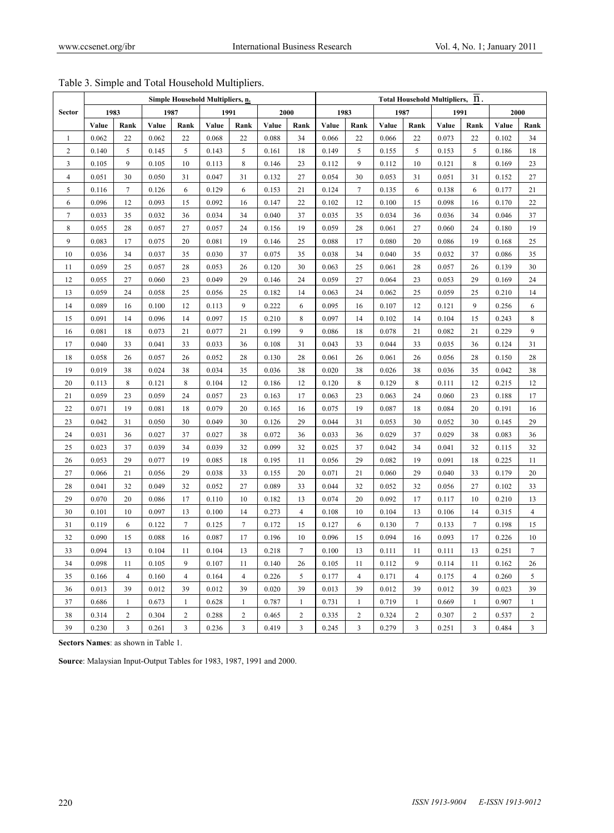|                  |       |                |       |                | Simple Household Multipliers, n. |                |       |                | Total Household Multipliers, n. |                  |       |                |       |                |       |                  |  |
|------------------|-------|----------------|-------|----------------|----------------------------------|----------------|-------|----------------|---------------------------------|------------------|-------|----------------|-------|----------------|-------|------------------|--|
| Sector           | 1983  |                | 1987  |                | 1991                             |                | 2000  |                | 1983                            |                  | 1987  |                |       | 1991           |       | 2000             |  |
|                  | Value | Rank           | Value | Rank           | Value                            | Rank           | Value | Rank           | Value                           | Rank             | Value | Rank           | Value | Rank           | Value | Rank             |  |
| $\mathbf{1}$     | 0.062 | 22             | 0.062 | 22             | 0.068                            | 22             | 0.088 | 34             | 0.066                           | 22               | 0.066 | 22             | 0.073 | 22             | 0.102 | 34               |  |
| $\overline{c}$   | 0.140 | 5              | 0.145 | 5              | 0.143                            | 5              | 0.161 | 18             | 0.149                           | 5                | 0.155 | 5              | 0.153 | 5              | 0.186 | 18               |  |
| 3                | 0.105 | 9              | 0.105 | 10             | 0.113                            | 8              | 0.146 | 23             | 0.112                           | 9                | 0.112 | 10             | 0.121 | 8              | 0.169 | 23               |  |
| 4                | 0.051 | 30             | 0.050 | 31             | 0.047                            | 31             | 0.132 | 27             | 0.054                           | 30               | 0.053 | 31             | 0.051 | 31             | 0.152 | 27               |  |
| 5                | 0.116 | $\tau$         | 0.126 | 6              | 0.129                            | 6              | 0.153 | 21             | 0.124                           | $\boldsymbol{7}$ | 0.135 | 6              | 0.138 | 6              | 0.177 | 21               |  |
| 6                | 0.096 | 12             | 0.093 | 15             | 0.092                            | 16             | 0.147 | 22             | 0.102                           | 12               | 0.100 | 15             | 0.098 | 16             | 0.170 | 22               |  |
| $\boldsymbol{7}$ | 0.033 | 35             | 0.032 | 36             | 0.034                            | 34             | 0.040 | 37             | 0.035                           | 35               | 0.034 | 36             | 0.036 | 34             | 0.046 | 37               |  |
| 8                | 0.055 | 28             | 0.057 | 27             | 0.057                            | 24             | 0.156 | 19             | 0.059                           | 28               | 0.061 | 27             | 0.060 | 24             | 0.180 | 19               |  |
| 9                | 0.083 | 17             | 0.075 | 20             | 0.081                            | 19             | 0.146 | 25             | 0.088                           | 17               | 0.080 | 20             | 0.086 | 19             | 0.168 | 25               |  |
| 10               | 0.036 | 34             | 0.037 | 35             | 0.030                            | 37             | 0.075 | 35             | 0.038                           | 34               | 0.040 | 35             | 0.032 | 37             | 0.086 | 35               |  |
| 11               | 0.059 | 25             | 0.057 | 28             | 0.053                            | 26             | 0.120 | 30             | 0.063                           | 25               | 0.061 | 28             | 0.057 | 26             | 0.139 | 30               |  |
| 12               | 0.055 | 27             | 0.060 | 23             | 0.049                            | 29             | 0.146 | 24             | 0.059                           | 27               | 0.064 | 23             | 0.053 | 29             | 0.169 | 24               |  |
| 13               | 0.059 | 24             | 0.058 | 25             | 0.056                            | 25             | 0.182 | 14             | 0.063                           | 24               | 0.062 | 25             | 0.059 | 25             | 0.210 | 14               |  |
| 14               | 0.089 | 16             | 0.100 | 12             | 0.113                            | 9              | 0.222 | 6              | 0.095                           | 16               | 0.107 | 12             | 0.121 | 9              | 0.256 | 6                |  |
| 15               | 0.091 | 14             | 0.096 | 14             | 0.097                            | 15             | 0.210 | 8              | 0.097                           | 14               | 0.102 | 14             | 0.104 | 15             | 0.243 | $\,$ 8 $\,$      |  |
| 16               | 0.081 | 18             | 0.073 | 21             | 0.077                            | 21             | 0.199 | 9              | 0.086                           | 18               | 0.078 | 21             | 0.082 | 21             | 0.229 | 9                |  |
| 17               | 0.040 | 33             | 0.041 | 33             | 0.033                            | 36             | 0.108 | 31             | 0.043                           | 33               | 0.044 | 33             | 0.035 | 36             | 0.124 | 31               |  |
| 18               | 0.058 | 26             | 0.057 | 26             | 0.052                            | 28             | 0.130 | 28             | 0.061                           | 26               | 0.061 | 26             | 0.056 | 28             | 0.150 | 28               |  |
| 19               | 0.019 | 38             | 0.024 | 38             | 0.034                            | 35             | 0.036 | 38             | 0.020                           | 38               | 0.026 | 38             | 0.036 | 35             | 0.042 | 38               |  |
| 20               | 0.113 | 8              | 0.121 | 8              | 0.104                            | 12             | 0.186 | 12             | 0.120                           | 8                | 0.129 | 8              | 0.111 | 12             | 0.215 | 12               |  |
| 21               | 0.059 | 23             | 0.059 | 24             | 0.057                            | 23             | 0.163 | 17             | 0.063                           | 23               | 0.063 | 24             | 0.060 | 23             | 0.188 | 17               |  |
| 22               | 0.071 | 19             | 0.081 | 18             | 0.079                            | 20             | 0.165 | 16             | 0.075                           | 19               | 0.087 | 18             | 0.084 | 20             | 0.191 | 16               |  |
| 23               | 0.042 | 31             | 0.050 | 30             | 0.049                            | 30             | 0.126 | 29             | 0.044                           | 31               | 0.053 | 30             | 0.052 | 30             | 0.145 | 29               |  |
| 24               | 0.031 | 36             | 0.027 | 37             | 0.027                            | 38             | 0.072 | 36             | 0.033                           | 36               | 0.029 | 37             | 0.029 | 38             | 0.083 | 36               |  |
| 25               | 0.023 | 37             | 0.039 | 34             | 0.039                            | 32             | 0.099 | 32             | 0.025                           | 37               | 0.042 | 34             | 0.041 | 32             | 0.115 | 32               |  |
| 26               | 0.053 | 29             | 0.077 | 19             | 0.085                            | 18             | 0.195 | 11             | 0.056                           | 29               | 0.082 | 19             | 0.091 | 18             | 0.225 | 11               |  |
| 27               | 0.066 | 21             | 0.056 | 29             | 0.038                            | 33             | 0.155 | 20             | 0.071                           | 21               | 0.060 | 29             | 0.040 | 33             | 0.179 | 20               |  |
| 28               | 0.041 | 32             | 0.049 | 32             | 0.052                            | 27             | 0.089 | 33             | 0.044                           | 32               | 0.052 | 32             | 0.056 | 27             | 0.102 | 33               |  |
| 29               | 0.070 | 20             | 0.086 | 17             | 0.110                            | 10             | 0.182 | 13             | 0.074                           | 20               | 0.092 | 17             | 0.117 | 10             | 0.210 | 13               |  |
| 30               | 0.101 | 10             | 0.097 | 13             | 0.100                            | 14             | 0.273 | $\overline{4}$ | 0.108                           | 10               | 0.104 | 13             | 0.106 | 14             | 0.315 | $\overline{4}$   |  |
| 31               | 0.119 | 6              | 0.122 | 7              | 0.125                            | $\tau$         | 0.172 | 15             | 0.127                           | 6                | 0.130 | 7              | 0.133 | $\tau$         | 0.198 | 15               |  |
| 32               | 0.090 | 15             | 0.088 | 16             | 0.087                            | 17             | 0.196 | 10             | 0.096                           | 15               | 0.094 | 16             | 0.093 | 17             | 0.226 | 10               |  |
| 33               | 0.094 | 13             | 0.104 | 11             | 0.104                            | 13             | 0.218 | $\tau$         | 0.100                           | 13               | 0.111 | 11             | 0.111 | 13             | 0.251 | $\boldsymbol{7}$ |  |
| 34               | 0.098 | 11             | 0.105 | 9              | 0.107                            | 11             | 0.140 | 26             | 0.105                           | 11               | 0.112 | 9              | 0.114 | 11             | 0.162 | 26               |  |
| 35               | 0.166 | $\overline{4}$ | 0.160 | $\overline{4}$ | 0.164                            | $\overline{4}$ | 0.226 | 5              | 0.177                           | $\overline{4}$   | 0.171 | 4              | 0.175 | $\overline{4}$ | 0.260 | 5                |  |
| 36               | 0.013 | 39             | 0.012 | 39             | 0.012                            | 39             | 0.020 | 39             | 0.013                           | 39               | 0.012 | 39             | 0.012 | 39             | 0.023 | 39               |  |
| 37               | 0.686 | $\mathbf{1}$   | 0.673 | $\mathbf{1}$   | 0.628                            | $\mathbf{1}$   | 0.787 | $\mathbf{1}$   | 0.731                           | $\mathbf{1}$     | 0.719 | $\mathbf{1}$   | 0.669 | 1              | 0.907 | $\mathbf{1}$     |  |
| 38               | 0.314 | $\overline{c}$ | 0.304 | $\overline{c}$ | 0.288                            | $\overline{c}$ | 0.465 | $\overline{c}$ | 0.335                           | $\sqrt{2}$       | 0.324 | $\overline{c}$ | 0.307 | $\overline{c}$ | 0.537 | $\overline{c}$   |  |
| 39               | 0.230 | $\mathfrak{Z}$ | 0.261 | $\mathbf{3}$   | 0.236                            | $\mathbf{3}$   | 0.419 | $\mathfrak{Z}$ | 0.245                           | $\mathfrak{Z}$   | 0.279 | $\mathfrak{Z}$ | 0.251 | 3              | 0.484 | $\mathfrak{Z}$   |  |

# Table 3. Simple and Total Household Multipliers.

**Sectors Names**: as shown in Table 1.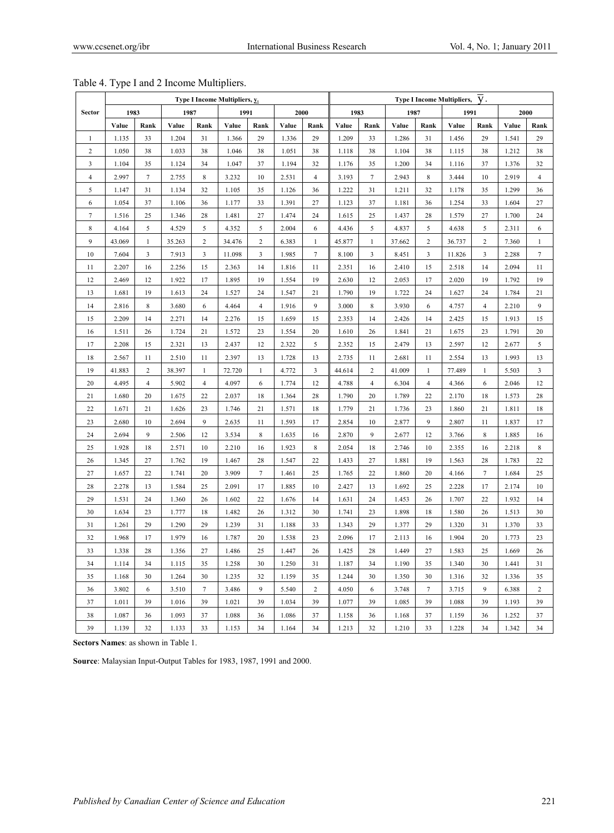|                         | Type I Income Multipliers, y. |                |              |                |        |                |       |      |        | Type I Income Multipliers, V. |        |                 |        |                 |       |                |  |  |  |
|-------------------------|-------------------------------|----------------|--------------|----------------|--------|----------------|-------|------|--------|-------------------------------|--------|-----------------|--------|-----------------|-------|----------------|--|--|--|
| Sector                  | 1983                          |                | 1987<br>1991 |                |        |                |       | 2000 | 1983   |                               | 1987   |                 |        | 1991<br>2000    |       |                |  |  |  |
|                         | Value                         | Rank           | Value        | Rank           | Value  | Rank           | Value | Rank | Value  | Rank                          | Value  | Rank            | Value  | Rank            | Value | Rank           |  |  |  |
| $\mathbf{1}$            | 1.135                         | 33             | 1.204        | 31             | 1.366  | 29             | 1.336 | 29   | 1.209  | 33                            | 1.286  | 31              | 1.456  | 29              | 1.541 | 29             |  |  |  |
| $\overline{\mathbf{c}}$ | 1.050                         | 38             | 1.033        | 38             | 1.046  | 38             | 1.051 | 38   | 1.118  | 38                            | 1.104  | 38              | 1.115  | 38              | 1.212 | 38             |  |  |  |
| 3                       | 1.104                         | 35             | 1.124        | 34             | 1.047  | 37             | 1.194 | 32   | 1.176  | 35                            | 1.200  | 34              | 1.116  | 37              | 1.376 | 32             |  |  |  |
| 4                       | 2.997                         | $\overline{7}$ | 2.755        | 8              | 3.232  | 10             | 2.531 | 4    | 3.193  | $\tau$                        | 2.943  | 8               | 3.444  | 10              | 2.919 | 4              |  |  |  |
| 5                       | 1.147                         | 31             | 1.134        | 32             | 1.105  | 35             | 1.126 | 36   | 1.222  | 31                            | 1.211  | 32              | 1.178  | 35              | 1.299 | 36             |  |  |  |
| 6                       | 1.054                         | 37             | 1.106        | 36             | 1.177  | 33             | 1.391 | 27   | 1.123  | 37                            | 1.181  | 36              | 1.254  | 33              | 1.604 | 27             |  |  |  |
| 7                       | 1.516                         | 25             | 1.346        | 28             | 1.481  | 27             | 1.474 | 24   | 1.615  | 25                            | 1.437  | 28              | 1.579  | 27              | 1.700 | 24             |  |  |  |
| 8                       | 4.164                         | 5              | 4.529        | 5              | 4.352  | 5              | 2.004 | 6    | 4.436  | 5                             | 4.837  | 5               | 4.638  | 5               | 2.311 | 6              |  |  |  |
| 9                       | 43.069                        | $\mathbf{1}$   | 35.263       | 2              | 34.476 | 2              | 6.383 | 1    | 45.877 | $\mathbf{1}$                  | 37.662 | 2               | 36.737 | 2               | 7.360 | 1              |  |  |  |
| 10                      | 7.604                         | 3              | 7.913        | 3              | 11.098 | 3              | 1.985 | 7    | 8.100  | 3                             | 8.451  | 3               | 11.826 | 3               | 2.288 | $\tau$         |  |  |  |
| 11                      | 2.207                         | 16             | 2.256        | 15             | 2.363  | 14             | 1.816 | 11   | 2.351  | 16                            | 2.410  | 15              | 2.518  | 14              | 2.094 | 11             |  |  |  |
| 12                      | 2.469                         | 12             | 1.922        | 17             | 1.895  | 19             | 1.554 | 19   | 2.630  | 12                            | 2.053  | 17              | 2.020  | 19              | 1.792 | 19             |  |  |  |
| 13                      | 1.681                         | 19             | 1.613        | 24             | 1.527  | 24             | 1.547 | 21   | 1.790  | 19                            | 1.722  | 24              | 1.627  | 24              | 1.784 | 21             |  |  |  |
| 14                      | 2.816                         | 8              | 3.680        | 6              | 4.464  | $\overline{4}$ | 1.916 | 9    | 3.000  | 8                             | 3.930  | 6               | 4.757  | 4               | 2.210 | 9              |  |  |  |
| 15                      | 2.209                         | 14             | 2.271        | 14             | 2.276  | 15             | 1.659 | 15   | 2.353  | 14                            | 2.426  | 14              | 2.425  | 15              | 1.913 | 15             |  |  |  |
| 16                      | 1.511                         | 26             | 1.724        | 21             | 1.572  | 23             | 1.554 | 20   | 1.610  | 26                            | 1.841  | 21              | 1.675  | 23              | 1.791 | 20             |  |  |  |
| 17                      | 2.208                         | 15             | 2.321        | 13             | 2.437  | 12             | 2.322 | 5    | 2.352  | 15                            | 2.479  | 13              | 2.597  | 12              | 2.677 | 5              |  |  |  |
| 18                      | 2.567                         | 11             | 2.510        | 11             | 2.397  | 13             | 1.728 | 13   | 2.735  | 11                            | 2.681  | 11              | 2.554  | 13              | 1.993 | 13             |  |  |  |
| 19                      | 41.883                        | 2              | 38.397       | 1              | 72.720 | 1              | 4.772 | 3    | 44.614 | 2                             | 41.009 | 1               | 77.489 | $\mathbf{1}$    | 5.503 | 3              |  |  |  |
| 20                      | 4.495                         | 4              | 5.902        | $\overline{4}$ | 4.097  | 6              | 1.774 | 12   | 4.788  | 4                             | 6.304  | $\overline{4}$  | 4.366  | 6               | 2.046 | 12             |  |  |  |
| 21                      | 1.680                         | 20             | 1.675        | 22             | 2.037  | 18             | 1.364 | 28   | 1.790  | 20                            | 1.789  | 22              | 2.170  | 18              | 1.573 | 28             |  |  |  |
| 22                      | 1.671                         | 21             | 1.626        | 23             | 1.746  | 21             | 1.571 | 18   | 1.779  | 21                            | 1.736  | 23              | 1.860  | 21              | 1.811 | 18             |  |  |  |
| 23                      | 2.680                         | 10             | 2.694        | 9              | 2.635  | 11             | 1.593 | 17   | 2.854  | 10                            | 2.877  | 9               | 2.807  | 11              | 1.837 | 17             |  |  |  |
| 24                      | 2.694                         | 9              | 2.506        | 12             | 3.534  | 8              | 1.635 | 16   | 2.870  | 9                             | 2.677  | 12              | 3.766  | 8               | 1.885 | 16             |  |  |  |
| 25                      | 1.928                         | 18             | 2.571        | 10             | 2.210  | 16             | 1.923 | 8    | 2.054  | 18                            | 2.746  | 10              | 2.355  | 16              | 2.218 | 8              |  |  |  |
| 26                      | 1.345                         | 27             | 1.762        | 19             | 1.467  | 28             | 1.547 | 22   | 1.433  | 27                            | 1.881  | 19              | 1.563  | 28              | 1.783 | 22             |  |  |  |
| 27                      | 1.657                         | 22             | 1.741        | 20             | 3.909  | $\tau$         | 1.461 | 25   | 1.765  | 22                            | 1.860  | 20              | 4.166  | $7\phantom{.0}$ | 1.684 | 25             |  |  |  |
| 28                      | 2.278                         | 13             | 1.584        | 25             | 2.091  | 17             | 1.885 | 10   | 2.427  | 13                            | 1.692  | 25              | 2.228  | 17              | 2.174 | 10             |  |  |  |
| 29                      | 1.531                         | 24             | 1.360        | 26             | 1.602  | 22             | 1.676 | 14   | 1.631  | 24                            | 1.453  | 26              | 1.707  | 22              | 1.932 | 14             |  |  |  |
| 30                      | 1.634                         | 23             | 1.777        | 18             | 1.482  | 26             | 1.312 | 30   | 1.741  | 23                            | 1.898  | 18              | 1.580  | 26              | 1.513 | 30             |  |  |  |
| 31                      | 1.261                         | 29             | 1.290        | 29             | 1.239  | 31             | 1.188 | 33   | 1.343  | 29                            | 1.377  | 29              | 1.320  | 31              | 1.370 | 33             |  |  |  |
| 32                      | 1.968                         | 17             | 1.979        | 16             | 1.787  | 20             | 1.538 | 23   | 2.096  | 17                            | 2.113  | 16              | 1.904  | 20              | 1.773 | 23             |  |  |  |
| 33                      | 1.338                         | 28             | 1.356        | 27             | 1.486  | 25             | 1.447 | 26   | 1.425  | 28                            | 1.449  | 27              | 1.583  | 25              | 1.669 | 26             |  |  |  |
| 34                      | 1.114                         | 34             | 1.115        | 35             | 1.258  | 30             | 1.250 | 31   | 1.187  | 34                            | 1.190  | 35              | 1.340  | 30              | 1.441 | 31             |  |  |  |
| 35                      | 1.168                         | 30             | 1.264        | 30             | 1.235  | 32             | 1.159 | 35   | 1.244  | 30                            | 1.350  | 30              | 1.316  | 32              | 1.336 | 35             |  |  |  |
| 36                      | 3.802                         | 6              | 3.510        | $\tau$         | 3.486  | 9              | 5.540 | 2    | 4.050  | 6                             | 3.748  | $7\phantom{.0}$ | 3.715  | 9               | 6.388 | $\overline{c}$ |  |  |  |
| 37                      | 1.011                         | 39             | 1.016        | 39             | 1.021  | 39             | 1.034 | 39   | 1.077  | 39                            | 1.085  | 39              | 1.088  | 39              | 1.193 | 39             |  |  |  |
| 38                      | 1.087                         | 36             | 1.093        | 37             | 1.088  | 36             | 1.086 | 37   | 1.158  | 36                            | 1.168  | 37              | 1.159  | 36              | 1.252 | 37             |  |  |  |
| 39                      | 1.139                         | 32             | 1.133        | 33             | 1.153  | 34             | 1.164 | 34   | 1.213  | 32                            | 1.210  | 33              | 1.228  | 34              | 1.342 | 34             |  |  |  |

# Table 4. Type I and 2 Income Multipliers.

**Sectors Names**: as shown in Table 1.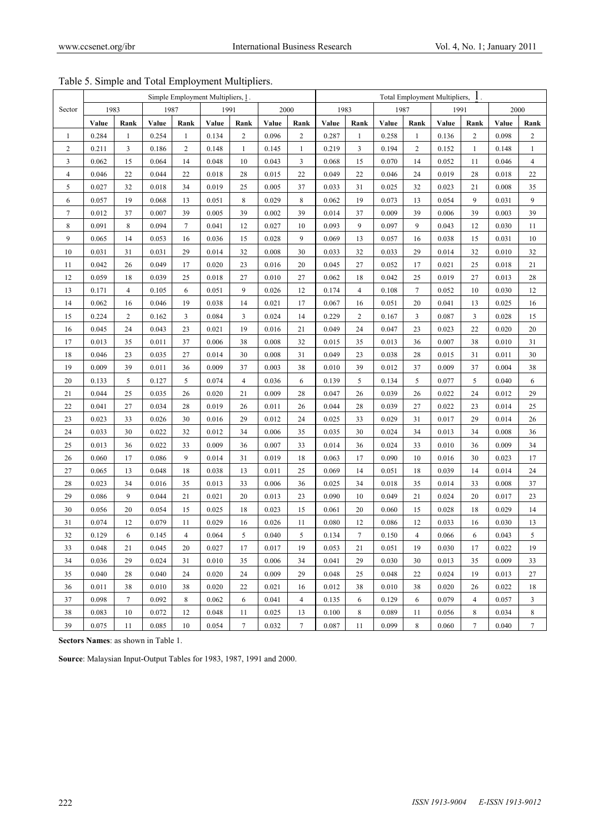|                | Simple Employment Multipliers, 1. |                |       |                |       |                |       |                |       | Total Employment Multipliers, 1. |       |                          |       |                         |       |                |  |  |
|----------------|-----------------------------------|----------------|-------|----------------|-------|----------------|-------|----------------|-------|----------------------------------|-------|--------------------------|-------|-------------------------|-------|----------------|--|--|
| Sector         | 1983                              |                |       | 1987           |       | 1991           | 2000  |                | 1983  |                                  | 1987  |                          | 1991  |                         | 2000  |                |  |  |
|                | Value                             | Rank           | Value | Rank           | Value | Rank           | Value | Rank           | Value | Rank                             | Value | Rank                     | Value | Rank                    | Value | Rank           |  |  |
| $\mathbf{1}$   | 0.284                             | $\mathbf{1}$   | 0.254 | 1              | 0.134 | $\overline{c}$ | 0.096 | $\overline{2}$ | 0.287 | $\mathbf{1}$                     | 0.258 | 1                        | 0.136 | $\sqrt{2}$              | 0.098 | $\sqrt{2}$     |  |  |
| $\overline{c}$ | 0.211                             | 3              | 0.186 | $\overline{c}$ | 0.148 | $\mathbf{1}$   | 0.145 | $\mathbf{1}$   | 0.219 | 3                                | 0.194 | $\overline{2}$           | 0.152 | $\mathbf{1}$            | 0.148 | $\mathbf{1}$   |  |  |
| 3              | 0.062                             | 15             | 0.064 | 14             | 0.048 | 10             | 0.043 | 3              | 0.068 | 15                               | 0.070 | 14                       | 0.052 | 11                      | 0.046 | $\overline{4}$ |  |  |
| $\overline{4}$ | 0.046                             | 22             | 0.044 | 22             | 0.018 | 28             | 0.015 | 22             | 0.049 | 22                               | 0.046 | 24                       | 0.019 | 28                      | 0.018 | 22             |  |  |
| 5              | 0.027                             | 32             | 0.018 | 34             | 0.019 | 25             | 0.005 | 37             | 0.033 | 31                               | 0.025 | 32                       | 0.023 | 21                      | 0.008 | 35             |  |  |
| 6              | 0.057                             | 19             | 0.068 | 13             | 0.051 | 8              | 0.029 | 8              | 0.062 | 19                               | 0.073 | 13                       | 0.054 | 9                       | 0.031 | 9              |  |  |
| $\tau$         | 0.012                             | 37             | 0.007 | 39             | 0.005 | 39             | 0.002 | 39             | 0.014 | 37                               | 0.009 | 39                       | 0.006 | 39                      | 0.003 | 39             |  |  |
| 8              | 0.091                             | 8              | 0.094 | 7              | 0.041 | 12             | 0.027 | 10             | 0.093 | 9                                | 0.097 | 9                        | 0.043 | 12                      | 0.030 | 11             |  |  |
| 9              | 0.065                             | 14             | 0.053 | 16             | 0.036 | 15             | 0.028 | 9              | 0.069 | 13                               | 0.057 | 16                       | 0.038 | 15                      | 0.031 | 10             |  |  |
| 10             | 0.031                             | 31             | 0.031 | 29             | 0.014 | 32             | 0.008 | 30             | 0.033 | 32                               | 0.033 | 29                       | 0.014 | 32                      | 0.010 | 32             |  |  |
| 11             | 0.042                             | 26             | 0.049 | 17             | 0.020 | 23             | 0.016 | 20             | 0.045 | 27                               | 0.052 | 17                       | 0.021 | 25                      | 0.018 | 21             |  |  |
| 12             | 0.059                             | 18             | 0.039 | 25             | 0.018 | 27             | 0.010 | 27             | 0.062 | 18                               | 0.042 | 25                       | 0.019 | 27                      | 0.013 | 28             |  |  |
| 13             | 0.171                             | 4              | 0.105 | 6              | 0.051 | 9              | 0.026 | 12             | 0.174 | $\overline{4}$                   | 0.108 | $\overline{7}$           | 0.052 | 10                      | 0.030 | 12             |  |  |
| 14             | 0.062                             | 16             | 0.046 | 19             | 0.038 | 14             | 0.021 | 17             | 0.067 | 16                               | 0.051 | 20                       | 0.041 | 13                      | 0.025 | 16             |  |  |
| 15             | 0.224                             | $\overline{c}$ | 0.162 | 3              | 0.084 | 3              | 0.024 | 14             | 0.229 | $\overline{c}$                   | 0.167 | 3                        | 0.087 | $\overline{\mathbf{3}}$ | 0.028 | 15             |  |  |
| 16             | 0.045                             | 24             | 0.043 | 23             | 0.021 | 19             | 0.016 | 21             | 0.049 | 24                               | 0.047 | 23                       | 0.023 | 22                      | 0.020 | 20             |  |  |
| 17             | 0.013                             | 35             | 0.011 | 37             | 0.006 | 38             | 0.008 | 32             | 0.015 | 35                               | 0.013 | 36                       | 0.007 | 38                      | 0.010 | 31             |  |  |
| 18             | 0.046                             | 23             | 0.035 | 27             | 0.014 | 30             | 0.008 | 31             | 0.049 | 23                               | 0.038 | 28                       | 0.015 | 31                      | 0.011 | 30             |  |  |
| 19             | 0.009                             | 39             | 0.011 | 36             | 0.009 | 37             | 0.003 | 38             | 0.010 | 39                               | 0.012 | 37                       | 0.009 | 37                      | 0.004 | 38             |  |  |
| 20             | 0.133                             | 5              | 0.127 | 5              | 0.074 | $\overline{4}$ | 0.036 | 6              | 0.139 | 5                                | 0.134 | 5                        | 0.077 | 5                       | 0.040 | 6              |  |  |
| 21             | 0.044                             | 25             | 0.035 | 26             | 0.020 | 21             | 0.009 | 28             | 0.047 | 26                               | 0.039 | 26                       | 0.022 | 24                      | 0.012 | 29             |  |  |
| 22             | 0.041                             | 27             | 0.034 | 28             | 0.019 | 26             | 0.011 | 26             | 0.044 | 28                               | 0.039 | 27                       | 0.022 | 23                      | 0.014 | 25             |  |  |
| 23             | 0.023                             | 33             | 0.026 | 30             | 0.016 | 29             | 0.012 | 24             | 0.025 | 33                               | 0.029 | 31                       | 0.017 | 29                      | 0.014 | 26             |  |  |
| 24             | 0.033                             | 30             | 0.022 | 32             | 0.012 | 34             | 0.006 | 35             | 0.035 | 30                               | 0.024 | 34                       | 0.013 | 34                      | 0.008 | 36             |  |  |
| 25             | 0.013                             | 36             | 0.022 | 33             | 0.009 | 36             | 0.007 | 33             | 0.014 | 36                               | 0.024 | 33                       | 0.010 | 36                      | 0.009 | 34             |  |  |
| 26             | 0.060                             | 17             | 0.086 | 9              | 0.014 | 31             | 0.019 | 18             | 0.063 | 17                               | 0.090 | 10                       | 0.016 | 30                      | 0.023 | 17             |  |  |
| 27             | 0.065                             | 13             | 0.048 | 18             | 0.038 | 13             | 0.011 | 25             | 0.069 | 14                               | 0.051 | 18                       | 0.039 | 14                      | 0.014 | 24             |  |  |
| 28             | 0.023                             | 34             | 0.016 | 35             | 0.013 | 33             | 0.006 | 36             | 0.025 | 34                               | 0.018 | 35                       | 0.014 | 33                      | 0.008 | 37             |  |  |
| 29             | 0.086                             | 9              | 0.044 | 21             | 0.021 | 20             | 0.013 | 23             | 0.090 | 10                               | 0.049 | 21                       | 0.024 | 20                      | 0.017 | 23             |  |  |
| 30             | 0.056                             | 20             | 0.054 | 15             | 0.025 | 18             | 0.023 | 15             | 0.061 | 20                               | 0.060 | 15                       | 0.028 | 18                      | 0.029 | 14             |  |  |
| 31             | 0.074                             | 12             | 0.079 | 11             | 0.029 | 16             | 0.026 | 11             | 0.080 | 12                               | 0.086 | 12                       | 0.033 | 16                      | 0.030 | 13             |  |  |
| 32             | 0.129                             | 6              | 0.145 | $\overline{4}$ | 0.064 | 5              | 0.040 | 5              | 0.134 | $\tau$                           | 0.150 | $\overline{\mathcal{L}}$ | 0.066 | 6                       | 0.043 | 5              |  |  |
| 33             | 0.048                             | 21             | 0.045 | 20             | 0.027 | 17             | 0.017 | 19             | 0.053 | 21                               | 0.051 | 19                       | 0.030 | 17                      | 0.022 | 19             |  |  |
| 34             | 0.036                             | 29             | 0.024 | 31             | 0.010 | 35             | 0.006 | 34             | 0.041 | 29                               | 0.030 | 30                       | 0.013 | 35                      | 0.009 | 33             |  |  |
| 35             | 0.040                             | 28             | 0.040 | 24             | 0.020 | 24             | 0.009 | 29             | 0.048 | 25                               | 0.048 | 22                       | 0.024 | 19                      | 0.013 | 27             |  |  |
| 36             | 0.011                             | 38             | 0.010 | 38             | 0.020 | 22             | 0.021 | 16             | 0.012 | 38                               | 0.010 | 38                       | 0.020 | 26                      | 0.022 | 18             |  |  |
| 37             | 0.098                             | $\tau$         | 0.092 | 8              | 0.062 | 6              | 0.041 | $\overline{4}$ | 0.135 | 6                                | 0.129 | 6                        | 0.079 | $\overline{4}$          | 0.057 | 3              |  |  |
| 38             | 0.083                             | 10             | 0.072 | 12             | 0.048 | 11             | 0.025 | 13             | 0.100 | 8                                | 0.089 | 11                       | 0.056 | 8                       | 0.034 | $\,$ 8 $\,$    |  |  |
| 39             | 0.075                             | 11             | 0.085 | 10             | 0.054 | $\tau$         | 0.032 | $\overline{7}$ | 0.087 | 11                               | 0.099 | 8                        | 0.060 | $\overline{7}$          | 0.040 | 7              |  |  |

# Table 5. Simple and Total Employment Multipliers.

**Sectors Names**: as shown in Table 1.